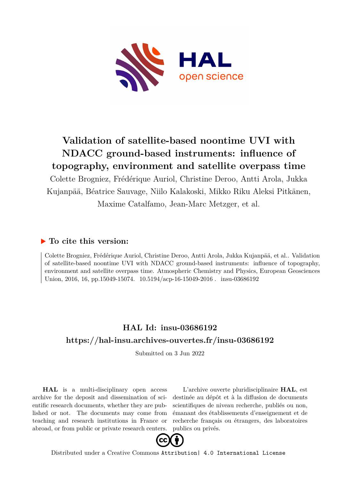

# **Validation of satellite-based noontime UVI with NDACC ground-based instruments: influence of topography, environment and satellite overpass time**

Colette Brogniez, Frédérique Auriol, Christine Deroo, Antti Arola, Jukka Kujanpää, Béatrice Sauvage, Niilo Kalakoski, Mikko Riku Aleksi Pitkänen, Maxime Catalfamo, Jean-Marc Metzger, et al.

## **To cite this version:**

Colette Brogniez, Frédérique Auriol, Christine Deroo, Antti Arola, Jukka Kujanpää, et al.. Validation of satellite-based noontime UVI with NDACC ground-based instruments: influence of topography, environment and satellite overpass time. Atmospheric Chemistry and Physics, European Geosciences Union, 2016, 16, pp.15049-15074.  $10.5194/acp-16-15049-2016$ . insu-03686192

## **HAL Id: insu-03686192 <https://hal-insu.archives-ouvertes.fr/insu-03686192>**

Submitted on 3 Jun 2022

**HAL** is a multi-disciplinary open access archive for the deposit and dissemination of scientific research documents, whether they are published or not. The documents may come from teaching and research institutions in France or abroad, or from public or private research centers.

L'archive ouverte pluridisciplinaire **HAL**, est destinée au dépôt et à la diffusion de documents scientifiques de niveau recherche, publiés ou non, émanant des établissements d'enseignement et de recherche français ou étrangers, des laboratoires publics ou privés.



Distributed under a Creative Commons [Attribution| 4.0 International License](http://creativecommons.org/licenses/by/4.0/)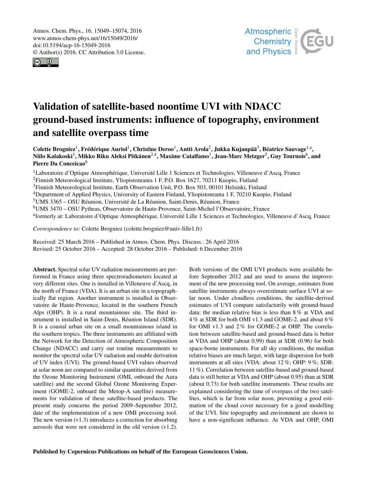Atmos. Chem. Phys., 16, 15049–15074, 2016 www.atmos-chem-phys.net/16/15049/2016/ doi:10.5194/acp-16-15049-2016 © Author(s) 2016. CC Attribution 3.0 License.





# Validation of satellite-based noontime UVI with NDACC ground-based instruments: influence of topography, environment and satellite overpass time

Colette Brogniez<sup>1</sup>, Frédérique Auriol<sup>1</sup>, Christine Deroo<sup>1</sup>, Antti Arola<sup>2</sup>, Jukka Kujanpää<sup>3</sup>, Béatrice Sauvage<sup>1,a</sup>, Niilo Kalakoski $^3$ , Mikko Riku Aleksi Pitkänen $^{2,4}$ , Maxime Catalfamo $^1$ , Jean-Marc Metzger $^5$ , Guy Tournois $^6$ , and Pierre Da Conceicao<sup>6</sup>

<sup>1</sup>Laboratoire d'Optique Atmosphérique, Université Lille 1 Sciences et Technologies, Villeneuve d'Ascq, France <sup>2</sup>Finnish Meteorological Institute, Yliopistonranta 1 F, P.O. Box 1627, 70211 Kuopio, Finland <sup>3</sup>Finnish Meteorological Institute, Earth Observation Unit, P.O. Box 503, 00101 Helsinki, Finland <sup>4</sup>Department of Applied Physics, University of Eastern Finland, Yliopistonranta 1 F, 70210 Kuopio, Finland <sup>5</sup>UMS 3365 – OSU Réunion, Université de La Réunion, Saint-Denis, Réunion, France <sup>6</sup>UMS 3470 – OSU Pytheas, Observatoire de Haute-Provence, Saint-Michel l'Observatoire, France a formerly at: Laboratoire d'Optique Atmosphérique, Université Lille 1 Sciences et Technologies, Villeneuve d'Ascq, France

*Correspondence to:* Colette Brogniez (colette.brogniez@univ-lille1.fr)

Received: 25 March 2016 – Published in Atmos. Chem. Phys. Discuss.: 26 April 2016 Revised: 25 October 2016 – Accepted: 28 October 2016 – Published: 6 December 2016

Abstract. Spectral solar UV radiation measurements are performed in France using three spectroradiometers located at very different sites. One is installed in Villeneuve d'Ascq, in the north of France (VDA). It is an urban site in a topographically flat region. Another instrument is installed in Observatoire de Haute-Provence, located in the southern French Alps (OHP). It is a rural mountainous site. The third instrument is installed in Saint-Denis, Réunion Island (SDR). It is a coastal urban site on a small mountainous island in the southern tropics. The three instruments are affiliated with the Network for the Detection of Atmospheric Composition Change (NDACC) and carry out routine measurements to monitor the spectral solar UV radiation and enable derivation of UV index (UVI). The ground-based UVI values observed at solar noon are compared to similar quantities derived from the Ozone Monitoring Instrument (OMI, onboard the Aura satellite) and the second Global Ozone Monitoring Experiment (GOME-2, onboard the Metop-A satellite) measurements for validation of these satellite-based products. The present study concerns the period 2009–September 2012, date of the implementation of a new OMI processing tool. The new version  $(v1.3)$  introduces a correction for absorbing aerosols that were not considered in the old version (v1.2).

Both versions of the OMI UVI products were available before September 2012 and are used to assess the improvement of the new processing tool. On average, estimates from satellite instruments always overestimate surface UVI at solar noon. Under cloudless conditions, the satellite-derived estimates of UVI compare satisfactorily with ground-based data: the median relative bias is less than 8 % at VDA and 4 % at SDR for both OMI v1.3 and GOME-2, and about 6 % for OMI v1.3 and 2% for GOME-2 at OHP. The correlation between satellite-based and ground-based data is better at VDA and OHP (about 0.99) than at SDR (0.96) for both space-borne instruments. For all sky conditions, the median relative biases are much larger, with large dispersion for both instruments at all sites (VDA: about 12 %; OHP: 9 %; SDR: 11 %). Correlation between satellite-based and ground-based data is still better at VDA and OHP (about 0.95) than at SDR (about 0.73) for both satellite instruments. These results are explained considering the time of overpass of the two satellites, which is far from solar noon, preventing a good estimation of the cloud cover necessary for a good modelling of the UVI. Site topography and environment are shown to have a non-significant influence. At VDA and OHP, OMI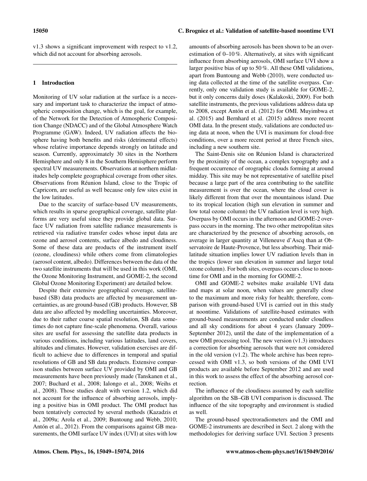v1.3 shows a significant improvement with respect to v1.2, which did not account for absorbing aerosols.

### 1 Introduction

Monitoring of UV solar radiation at the surface is a necessary and important task to characterize the impact of atmospheric composition change, which is the goal, for example, of the Network for the Detection of Atmospheric Composition Change (NDACC) and of the Global Atmosphere Watch Programme (GAW). Indeed, UV radiation affects the biosphere having both benefits and risks (detrimental effects) whose relative importance depends strongly on latitude and season. Currently, approximately 30 sites in the Northern Hemisphere and only 8 in the Southern Hemisphere perform spectral UV measurements. Observations at northern midlatitudes help complete geographical coverage from other sites. Observations from Réunion Island, close to the Tropic of Capricorn, are useful as well because only few sites exist in the low latitudes.

Due to the scarcity of surface-based UV measurements, which results in sparse geographical coverage, satellite platforms are very useful since they provide global data. Surface UV radiation from satellite radiance measurements is retrieved via radiative transfer codes whose input data are ozone and aerosol contents, surface albedo and cloudiness. Some of these data are products of the instrument itself (ozone, cloudiness) while others come from climatologies (aerosol content, albedo). Differences between the data of the two satellite instruments that will be used in this work (OMI, the Ozone Monitoring Instrument, and GOME-2, the second Global Ozone Monitoring Experiment) are detailed below.

Despite their extensive geographical coverage, satellitebased (SB) data products are affected by measurement uncertainties, as are ground-based (GB) products. However, SB data are also affected by modelling uncertainties. Moreover, due to their rather coarse spatial resolution, SB data sometimes do not capture fine-scale phenomena. Overall, various sites are useful for assessing the satellite data products in various conditions, including various latitudes, land covers, altitudes and climates. However, validation exercises are difficult to achieve due to differences in temporal and spatial resolutions of GB and SB data products. Extensive comparison studies between surface UV provided by OMI and GB measurements have been previously made (Tanskanen et al., 2007; Buchard et al., 2008; Ialongo et al., 2008; Weihs et al., 2008). Those studies dealt with version 1.2, which did not account for the influence of absorbing aerosols, implying a positive bias in OMI product. The OMI product has been tentatively corrected by several methods (Kazadzis et al., 2009a; Arola et al., 2009; Buntoung and Webb, 2010; Antón et al., 2012). From the comparisons against GB measurements, the OMI surface UV index (UVI) at sites with low amounts of absorbing aerosols has been shown to be an overestimation of 0–10 %. Alternatively, at sites with significant influence from absorbing aerosols, OMI surface UVI show a larger positive bias of up to 50 %. All these OMI validations, apart from Buntoung and Webb (2010), were conducted using data collected at the time of the satellite overpass. Currently, only one validation study is available for GOME-2, but it only concerns daily doses (Kalakoski, 2009). For both satellite instruments, the previous validations address data up to 2008, except Antón et al. (2012) for OMI. Muyimbwa et al. (2015) and Bernhard et al. (2015) address more recent OMI data. In the present study, validations are conducted using data at noon, when the UVI is maximum for cloud-free conditions, over a more recent period at three French sites, including a new southern site.

The Saint-Denis site on Réunion Island is characterized by the proximity of the ocean, a complex topography and a frequent occurrence of orographic clouds forming at around midday. This site may be not representative of satellite pixel because a large part of the area contributing to the satellite measurement is over the ocean, where the cloud cover is likely different from that over the mountainous island. Due to its tropical location (high sun elevation in summer and low total ozone column) the UV radiation level is very high. Overpass by OMI occurs in the afternoon and GOME-2 overpass occurs in the morning. The two other metropolitan sites are characterized by the presence of absorbing aerosols, on average in larger quantity at Villeneuve d'Ascq than at Observatoire de Haute-Provence, but less absorbing. Their midlatitude situation implies lower UV radiation levels than in the tropics (lower sun elevation in summer and larger total ozone column). For both sites, overpass occurs close to noontime for OMI and in the morning for GOME-2.

OMI and GOME-2 websites make available UVI data and maps at solar noon, when values are generally close to the maximum and more risky for health; therefore, comparison with ground-based UVI is carried out in this study at noontime. Validations of satellite-based estimates with ground-based measurements are conducted under cloudless and all sky conditions for about 4 years (January 2009– September 2012), until the date of the implementation of a new OMI processing tool. The new version (v1.3) introduces a correction for absorbing aerosols that were not considered in the old version  $(v1.2)$ . The whole archive has been reprocessed with OMI v1.3, so both versions of the OMI UVI products are available before September 2012 and are used in this work to assess the effect of the absorbing aerosol correction.

The influence of the cloudiness assumed by each satellite algorithm on the SB–GB UVI comparison is discussed. The influence of the site topography and environment is studied as well.

The ground-based spectroradiometers and the OMI and GOME-2 instruments are described in Sect. 2 along with the methodologies for deriving surface UVI. Section 3 presents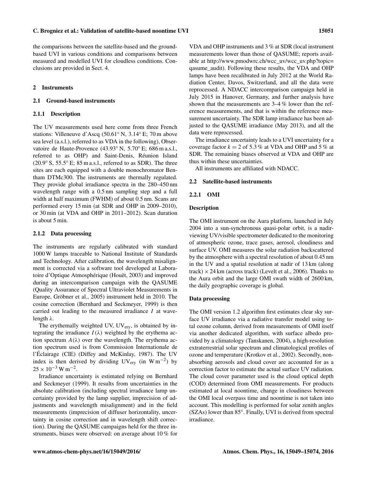the comparisons between the satellite-based and the groundbased UVI in various conditions and comparisons between measured and modelled UVI for cloudless conditions. Conclusions are provided in Sect. 4.

#### 2 Instruments

#### 2.1 Ground-based instruments

#### 2.1.1 Description

The UV measurements used here come from three French stations: Villeneuve d'Ascq (50.61◦ N, 3.14◦ E; 70 m above sea level (a.s.l.), referred to as VDA in the following), Observatoire de Haute-Provence (43.93◦ N, 5.70◦ E; 686 m a.s.l., referred to as OHP) and Saint-Denis, Réunion Island  $(20.9° S, 55.5° E; 85 m a.s.l., referred to as SDR).$  The three sites are each equipped with a double monochromator Bentham DTMc300. The instruments are thermally regulated. They provide global irradiance spectra in the 280–450 nm wavelength range with a 0.5 nm sampling step and a full width at half maximum (FWHM) of about 0.5 nm. Scans are performed every 15 min (at SDR and OHP in 2009–2010), or 30 min (at VDA and OHP in 2011–2012). Scan duration is about 5 min.

#### 2.1.2 Data processing

The instruments are regularly calibrated with standard 1000 W lamps traceable to National Institute of Standards and Technology. After calibration, the wavelength misalignment is corrected via a software tool developed at Laboratoire d'Optique Atmosphérique (Houët, 2003) and improved during an intercomparison campaign with the QASUME (Quality Assurance of Spectral Ultraviolet Measurements in Europe, Gröbner et al., 2005) instrument held in 2010. The cosine correction (Bernhard and Seckmeyer, 1999) is then carried out leading to the measured irradiance I at wavelength λ.

The erythemally weighted UV, UV<sub>ery</sub>, is obtained by integrating the irradiance  $I(\lambda)$  weighted by the erythema action spectrum  $A(\lambda)$  over the wavelength. The erythema action spectrum used is from Commission Internationale de l'Éclairage (CIE) (Diffey and McKinlay, 1987). The UV index is then derived by dividing  $UV_{\text{ery}}$  (in  $W \text{ m}^{-2}$ ) by  $25 \times 10^{-3}$  W m<sup>-2</sup>.

Irradiance uncertainty is estimated relying on Bernhard and Seckmeyer (1999). It results from uncertainties in the absolute calibration (including spectral irradiance lamp uncertainty provided by the lamp supplier, imprecision of adjustments and wavelength misalignment) and in the field measurements (imprecision of diffuser horizontality, uncertainty in cosine correction and in wavelength shift correction). During the QASUME campaigns held for the three instruments, biases were observed: on average about 10 % for

VDA and OHP instruments and 3 % at SDR (local instrument measurements lower than those of QASUME; reports available at [http://www.pmodwrc.ch/wcc\\_uv/wcc\\_uv.php?topic=](http://www.pmodwrc.ch/wcc_uv/wcc_uv.php?topic=qasume_audit) [qasume\\_audit\)](http://www.pmodwrc.ch/wcc_uv/wcc_uv.php?topic=qasume_audit). Following these results, the VDA and OHP lamps have been recalibrated in July 2012 at the World Radiation Center, Davos, Switzerland, and all the data were reprocessed. A NDACC intercomparison campaign held in July 2015 in Hanover, Germany, and further analysis have shown that the measurements are 3–4 % lower than the reference measurements, and that is within the reference measurement uncertainty. The SDR lamp irradiance has been adjusted to the QASUME irradiance (May 2013), and all the data were reprocessed.

The irradiance uncertainty leads to a UVI uncertainty for a coverage factor  $k = 2$  of 5.3% at VDA and OHP and 5% at SDR. The remaining biases observed at VDA and OHP are thus within these uncertainties.

All instruments are affiliated with NDACC.

#### 2.2 Satellite-based instruments

#### 2.2.1 OMI

### Description

The OMI instrument on the Aura platform, launched in July 2004 into a sun-synchronous quasi-polar orbit, is a nadirviewing UV/visible spectrometer dedicated to the monitoring of atmospheric ozone, trace gases, aerosol, cloudiness and surface UV. OMI measures the solar radiation backscattered by the atmosphere with a spectral resolution of about 0.45 nm in the UV and a spatial resolution at nadir of 13 km (along track)  $\times$  24 km (across track) (Levelt et al., 2006). Thanks to the Aura orbit and the large OMI swath width of 2600 km, the daily geographic coverage is global.

#### Data processing

The OMI version 1.2 algorithm first estimates clear sky surface UV irradiance via a radiative transfer model using total ozone column, derived from measurements of OMI itself via another dedicated algorithm, with surface albedo provided by a climatology (Tanskanen, 2004), a high-resolution extraterrestrial solar spectrum and climatological profiles of ozone and temperature (Krotkov et al., 2002). Secondly, nonabsorbing aerosols and cloud cover are accounted for as a correction factor to estimate the actual surface UV radiation. The cloud cover parameter used is the cloud optical depth (COD) determined from OMI measurements. For products estimated at local noontime, change in cloudiness between the OMI local overpass time and noontime is not taken into account. This modelling is performed for solar zenith angles (SZAs) lower than 85◦ . Finally, UVI is derived from spectral irradiance.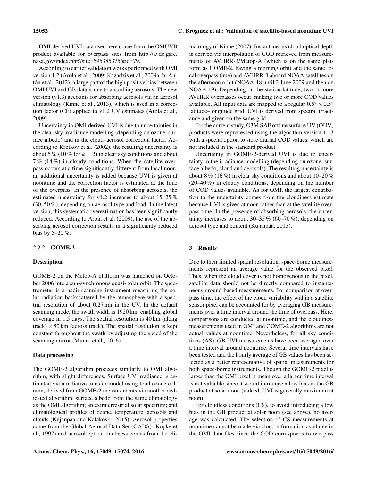According to earlier validation works performed with OMI version 1.2 (Arola et al., 2009; Kazadzis et al., 2009a, b; Antón et al., 2012), a large part of the high positive bias between OMI UVI and GB data is due to absorbing aerosols. The new version (v1.3) accounts for absorbing aerosols via an aerosol climatology (Kinne et al., 2013), which is used in a correction factor (CF) applied to v1.2 UV estimates (Arola et al., 2009).

Uncertainty in OMI-derived UVI is due to uncertainties in the clear sky irradiance modelling (depending on ozone, surface albedo) and in the cloud–aerosol correction factor. According to Krotkov et al. (2002), the resulting uncertainty is about 5 % (10 % for  $k = 2$ ) in clear sky conditions and about 7 % (14 %) in cloudy conditions. When the satellite overpass occurs at a time significantly different from local noon, an additional uncertainty is added because UVI is given at noontime and the correction factor is estimated at the time of the overpass. In the presence of absorbing aerosols, the estimated uncertainty for v1.2 increases to about 15–25 % (30–50 %), depending on aerosol type and load. In the latest version, this systematic overestimation has been significantly reduced. According to Arola et al. (2009), the use of the absorbing aerosol correction results in a significantly reduced bias by 5–20 %.

## 2.2.2 GOME-2

#### **Description**

GOME-2 on the Metop-A platform was launched on October 2006 into a sun-synchronous quasi-polar orbit. The spectrometer is a nadir-scanning instrument measuring the solar radiation backscattered by the atmosphere with a spectral resolution of about 0.27 nm in the UV. In the default scanning mode, the swath width is 1920 km, enabling global coverage in 1.5 days. The spatial resolution is 40 km (along  $track$ )  $\times$  80 km (across track). The spatial resolution is kept constant throughout the swath by adjusting the speed of the scanning mirror (Munro et al., 2016).

#### Data processing

The GOME-2 algorithm proceeds similarly to OMI algorithm, with slight differences. Surface UV irradiance is estimated via a radiative transfer model using total ozone column, derived from GOME-2 measurements via another dedicated algorithm; surface albedo from the same climatology as the OMI algorithm; an extraterrestrial solar spectrum; and climatological profiles of ozone, temperature, aerosols and clouds (Kujanpää and Kalakoski, 2015). Aerosol properties come from the Global Aerosol Data Set (GADS) (Köpke et al., 1997) and aerosol optical thickness comes from the climatology of Kinne (2007). Instantaneous cloud optical depth is derived via interpolation of COD retrieved from measurements of AVHRR-3/Metop-A (which is on the same platform as GOME-2, having a morning orbit and the same local overpass time) and AVHRR-3 aboard NOAA satellites on the afternoon orbit (NOAA-18 until 3 June 2009 and then on NOAA-19). Depending on the station latitude, two or more AVHRR overpasses occur, making two or more COD values available. All input data are mapped to a regular  $0.5° \times 0.5°$ latitude–longitude grid. UVI is derived from spectral irradiance and given on the same grid.

For the current study, O3M SAF offline surface UV (OUV) products were reprocessed using the algorithm version 1.13 with a special option to store diurnal COD values, which are not included in the standard product.

Uncertainty in GOME-2-derived UVI is due to uncertainty in the irradiance modelling (depending on ozone, surface albedo, cloud and aerosols). The resulting uncertainty is about 8 % (16 %) in clear sky conditions and about 10–20 % (20–40 %) in cloudy conditions, depending on the number of COD values available. As for OMI, the largest contribution to the uncertainty comes from the cloudiness estimate because UVI is given at noon rather than at the satellite overpass time. In the presence of absorbing aerosols, the uncertainty increases to about  $30-35\%$  (60-70%), depending on aerosol type and content (Kujanpää, 2013).

#### 3 Results

Due to their limited spatial resolution, space-borne measurements represent an average value for the observed pixel. Thus, when the cloud cover is not homogenous in the pixel, satellite data should not be directly compared to instantaneous ground-based measurements. For comparison at overpass time, the effect of the cloud variability within a satellite sensor pixel can be accounted for by averaging GB measurements over a time interval around the time of overpass. Here, comparisons are conducted at noontime, and the cloudiness measurements used in OMI and GOME-2 algorithms are not actual values at noontime. Nevertheless, for all sky conditions (AS), GB UVI measurements have been averaged over a time interval around noontime. Several time intervals have been tested and the hourly average of GB values has been selected as a better representative of spatial measurements for both space-borne instruments. Though the GOME-2 pixel is larger than the OMI pixel, a mean over a larger time interval is not valuable since it would introduce a low bias in the GB product at solar noon (indeed, UVI is generally maximum at noon).

For cloudless conditions (CS), to avoid introducing a low bias in the GB product at solar noon (see above), no average was calculated. The selection of CS measurements at noontime cannot be made via cloud information available in the OMI data files since the COD corresponds to overpass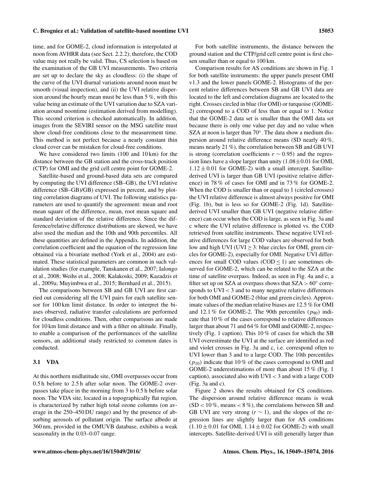## time, and for GOME-2, cloud information is interpolated at noon from AVHRR data (see Sect. 2.2.2); therefore, the COD value may not really be valid. Thus, CS selection is based on the examination of the GB UVI measurements. Two criteria are set up to declare the sky as cloudless: (i) the shape of the curve of the UVI diurnal variations around noon must be smooth (visual inspection), and (ii) the UVI relative dispersion around the hourly mean must be less than 5 %, with this value being an estimate of the UVI variation due to SZA variation around noontime (estimation derived from modelling). This second criterion is checked automatically. In addition, images from the SEVIRI sensor on the MSG satellite must show cloud-free conditions close to the measurement time. This method is not perfect because a nearly constant thin cloud cover can be mistaken for cloud-free conditions.

We have considered two limits (100 and 10 km) for the distance between the GB station and the cross-track position (CTP) for OMI and the grid cell centre point for GOME-2.

Satellite-based and ground-based data sets are compared by computing the UVI difference (SB–GB), the UVI relative difference (SB–GB)/GB) expressed in percent, and by plotting correlation diagrams of UVI. The following statistics parameters are used to quantify the agreement: mean and root mean square of the difference, mean, root mean square and standard deviation of the relative difference. Since the difference/relative difference distributions are skewed, we have also used the median and the 10th and 90th percentiles. All these quantities are defined in the Appendix. In addition, the correlation coefficient and the equation of the regression line obtained via a bivariate method (York et al., 2004) are estimated. These statistical parameters are common in such validation studies (for example, Tanskanen et al., 2007; Ialongo et al., 2008; Weihs et al., 2008; Kalakoski, 2009; Kazadzis et al., 2009a; Muyimbwa et al., 2015; Bernhard et al., 2015).

The comparisons between SB and GB UVI are first carried out considering all the UVI pairs for each satellite sensor for 100 km limit distance. In order to interpret the biases observed, radiative transfer calculations are performed for cloudless conditions. Then, other comparisons are made for 10 km limit distance and with a filter on altitude. Finally, to enable a comparison of the performances of the satellite sensors, an additional study restricted to common dates is conducted.

#### 3.1 VDA

At this northern midlatitude site, OMI overpasses occur from 0.5 h before to 2.5 h after solar noon. The GOME-2 overpasses take place in the morning from 3 to 0.5 h before solar noon. The VDA site, located in a topographically flat region, is characterized by rather high total ozone columns (on average in the 250–450 DU range) and by the presence of absorbing aerosols of pollutant origin. The surface albedo at 360 nm, provided in the OMUVB database, exhibits a weak seasonality in the 0.03–0.07 range.

For both satellite instruments, the distance between the ground station and the CTP/grid cell centre point is first chosen smaller than or equal to 100 km.

Comparison results for AS conditions are shown in Fig. 1 for both satellite instruments: the upper panels present OMI v1.3 and the lower panels GOME-2. Histograms of the percent relative differences between SB and GB UVI data are located to the left and correlation diagrams are located to the right. Crosses circled in blue (for OMI) or turquoise (GOME-2) correspond to a COD of less than or equal to 1. Notice that the GOME-2 data set is smaller than the OMI data set because there is only one value per day and no value when SZA at noon is larger than 70°. The data show a medium dispersion around relative difference means (SD nearly 40 %, means nearly 21 %), the correlation between SB and GB UVI is strong (correlation coefficients  $r \sim 0.95$ ) and the regression lines have a slope larger than unity  $(1.08 \pm 0.01$  for OMI,  $1.12 \pm 0.01$  for GOME-2) with a small intercept. Satellitederived UVI is larger than GB UVI (positive relative difference) in 78 % of cases for OMI and in 73 % for GOME-2. When the COD is smaller than or equal to 1 (circled crosses) the UVI relative difference is almost always positive for OMI (Fig. 1b), but is less so for GOME-2 (Fig. 1d). Satellitederived UVI smaller than GB UVI (negative relative difference) can occur when the COD is large, as seen in Fig. 3a and c where the UVI relative difference is plotted vs. the COD retrieved from satellite instruments. These negative UVI relative differences for large COD values are observed for both low and high UVI (UVI  $\geq$  3: blue circles for OMI, green circles for GOME-2), especially for OMI. Negative UVI differences for small COD values (COD  $\leq$  1) are sometimes observed for GOME-2, which can be related to the SZA at the time of satellite overpass. Indeed, as seen in Fig. 4a and c, a filter set up on SZA at overpass shows that  $SZA > 60^\circ$  corresponds to UVI < 3 and to many negative relative differences for both OMI and GOME-2 (blue and green circles). Approximate values of the median relative biases are 12.5 % for OMI and 12.1 % for GOME-2. The 90th percentiles  $(p_{90})$  indicate that 10 % of the cases correspond to relative differences larger than about 71 and 64 % for OMI and GOME-2, respectively (Fig. 1 caption). This 10 % of cases for which the SB UVI overestimate the UVI at the surface are identified as red and violet crosses in Fig. 3a and c, i.e. correspond often to UVI lower than 3 and to a large COD. The 10th percentiles  $(p_{10})$  indicate that 10% of the cases correspond to OMI and GOME-2 underestimations of more than about 15 % (Fig. 1 caption), associated also with  $UVI < 3$  and with a large COD (Fig. 3a and c).

Figure 2 shows the results obtained for CS conditions. The dispersion around relative difference means is weak  $(SD < 10\%$ , means < 8%), the correlations between SB and GB UVI are very strong  $(r \sim 1)$ , and the slopes of the regression lines are slightly larger than for AS conditions  $(1.10 \pm 0.01$  for OMI,  $1.14 \pm 0.02$  for GOME-2) with small intercepts. Satellite-derived UVI is still generally larger than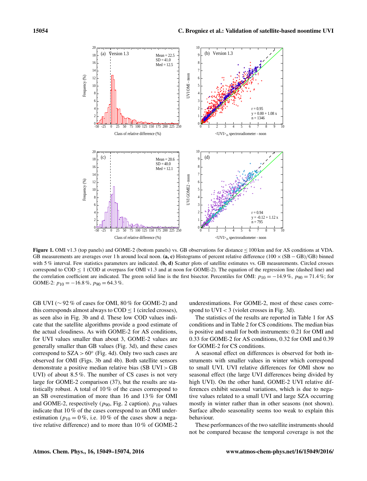

Figure 1. OMI v1.3 (top panels) and GOME-2 (bottom panels) vs. GB observations for distance ≤ 100 km and for AS conditions at VDA. GB measurements are averages over 1 h around local noon. (a, c) Histograms of percent relative difference  $(100 \times (SB - GB)/GB)$  binned with 5% interval. Few statistics parameters are indicated.  $(b, d)$  Scatter plots of satellite estimates vs. GB measurements. Circled crosses correspond to  $\text{COD} \leq 1$  (COD at overpass for OMI v1.3 and at noon for GOME-2). The equation of the regression line (dashed line) and the correlation coefficient are indicated. The green solid line is the first bisector. Percentiles for OMI:  $p_{10} = -14.9$  %,  $p_{90} = 71.4$  %; for GOME-2:  $p_{10} = -16.8\%$ ,  $p_{90} = 64.3\%$ .

GB UVI ( $\sim$  92 % of cases for OMI, 80 % for GOME-2) and this corresponds almost always to  $\text{COD} < 1$  (circled crosses), as seen also in Fig. 3b and d. These low COD values indicate that the satellite algorithms provide a good estimate of the actual cloudiness. As with GOME-2 for AS conditions, for UVI values smaller than about 3, GOME-2 values are generally smaller than GB values (Fig. 3d), and these cases correspond to  $SZA > 60^\circ$  (Fig. 4d). Only two such cases are observed for OMI (Figs. 3b and 4b). Both satellite sensors demonstrate a positive median relative bias (SB UVI > GB UVI) of about 8.5 %. The number of CS cases is not very large for GOME-2 comparison (37), but the results are statistically robust. A total of 10 % of the cases correspond to an SB overestimation of more than 16 and 13 % for OMI and GOME-2, respectively ( $p_{90}$ , Fig. 2 caption).  $p_{10}$  values indicate that 10 % of the cases correspond to an OMI underestimation ( $p_{10} = 0\%$ , i.e. 10% of the cases show a negative relative difference) and to more than 10 % of GOME-2

underestimations. For GOME-2, most of these cases correspond to  $UVI < 3$  (violet crosses in Fig. 3d).

The statistics of the results are reported in Table 1 for AS conditions and in Table 2 for CS conditions. The median bias is positive and small for both instruments: 0.21 for OMI and 0.33 for GOME-2 for AS conditions, 0.32 for OMI and 0.39 for GOME-2 for CS conditions.

A seasonal effect on differences is observed for both instruments with smaller values in winter which correspond to small UVI. UVI relative differences for OMI show no seasonal effect (the large UVI differences being divided by high UVI). On the other hand, GOME-2 UVI relative differences exhibit seasonal variations, which is due to negative values related to a small UVI and large SZA occurring mostly in winter rather than in other seasons (not shown). Surface albedo seasonality seems too weak to explain this behaviour.

These performances of the two satellite instruments should not be compared because the temporal coverage is not the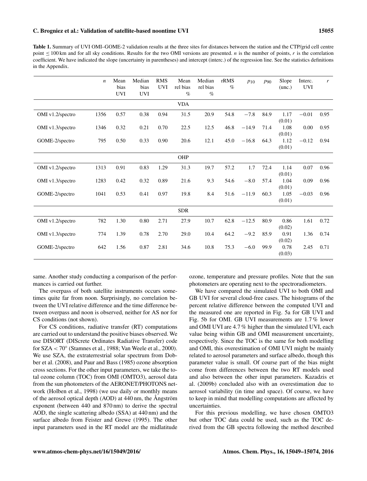Table 1. Summary of UVI OMI–GOME-2 validation results at the three sites for distances between the station and the CTP/grid cell centre point  $\leq 100$  km and for all sky conditions. Results for the two OMI versions are presented. *n* is the number of points, *r* is the correlation coefficient. We have indicated the slope (uncertainty in parentheses) and intercept (interc.) of the regression line. See the statistics definitions in the Appendix.

|                  | $\boldsymbol{n}$ | Mean<br>bias<br><b>UVI</b> | Median<br>bias<br><b>UVI</b> | <b>RMS</b><br><b>UVI</b> | Mean<br>rel bias<br>$\%$ | Median<br>rel bias<br>$\%$ | rRMS<br>$\%$ | $p_{10}$ | $p_{90}$ | Slope<br>(unc.) | Interc.<br><b>UVI</b> | r    |
|------------------|------------------|----------------------------|------------------------------|--------------------------|--------------------------|----------------------------|--------------|----------|----------|-----------------|-----------------------|------|
|                  |                  |                            |                              |                          | <b>VDA</b>               |                            |              |          |          |                 |                       |      |
| OMI v1.2/spectro | 1356             | 0.57                       | 0.38                         | 0.94                     | 31.5                     | 20.9                       | 54.8         | $-7.8$   | 84.9     | 1.17<br>(0.01)  | $-0.01$               | 0.95 |
| OMI v1.3/spectro | 1346             | 0.32                       | 0.21                         | 0.70                     | 22.5                     | 12.5                       | 46.8         | $-14.9$  | 71.4     | 1.08<br>(0.01)  | 0.00                  | 0.95 |
| GOME-2/spectro   | 795              | 0.50                       | 0.33                         | 0.90                     | 20.6                     | 12.1                       | 45.0         | $-16.8$  | 64.3     | 1.12<br>(0.01)  | $-0.12$               | 0.94 |
|                  |                  |                            |                              |                          | OHP                      |                            |              |          |          |                 |                       |      |
| OMI v1.2/spectro | 1313             | 0.91                       | 0.83                         | 1.29                     | 31.3                     | 19.7                       | 57.2         | 1.7      | 72.4     | 1.14<br>(0.01)  | 0.07                  | 0.96 |
| OMI v1.3/spectro | 1283             | 0.42                       | 0.32                         | 0.89                     | 21.6                     | 9.3                        | 54.6         | $-8.0$   | 57.4     | 1.04<br>(0.01)  | 0.09                  | 0.96 |
| GOME-2/spectro   | 1041             | 0.53                       | 0.41                         | 0.97                     | 19.8                     | 8.4                        | 51.6         | $-11.9$  | 60.3     | 1.05<br>(0.01)  | $-0.03$               | 0.96 |
|                  |                  |                            |                              |                          | <b>SDR</b>               |                            |              |          |          |                 |                       |      |
| OMI v1.2/spectro | 782              | 1.30                       | 0.80                         | 2.71                     | 27.9                     | 10.7                       | 62.8         | $-12.5$  | 80.9     | 0.86<br>(0.02)  | 1.61                  | 0.72 |
| OMI v1.3/spectro | 774              | 1.39                       | 0.78                         | 2.70                     | 29.0                     | 10.4                       | 64.2         | $-9.2$   | 85.9     | 0.91<br>(0.02)  | 1.36                  | 0.74 |
| GOME-2/spectro   | 642              | 1.56                       | 0.87                         | 2.81                     | 34.6                     | 10.8                       | 75.3         | $-6.0$   | 99.9     | 0.78<br>(0.03)  | 2.45                  | 0.71 |

same. Another study conducting a comparison of the performances is carried out further.

The overpass of both satellite instruments occurs sometimes quite far from noon. Surprisingly, no correlation between the UVI relative difference and the time difference between overpass and noon is observed, neither for AS nor for CS conditions (not shown).

For CS conditions, radiative transfer (RT) computations are carried out to understand the positive biases observed. We use DISORT (DIScrete Ordinates Radiative Transfer) code for SZA < 70◦ (Stamnes et al., 1988; Van Weele et al., 2000). We use SZA, the extraterrestrial solar spectrum from Dobber et al. (2008), and Paur and Bass (1985) ozone absorption cross sections. For the other input parameters, we take the total ozone column (TOC) from OMI (OMTO3), aerosol data from the sun photometers of the AERONET/PHOTONS network (Holben et al., 1998) (we use daily or monthly means of the aerosol optical depth (AOD) at 440 nm, the Ångström exponent (between 440 and 870 nm) to derive the spectral AOD, the single scattering albedo (SSA) at 440 nm) and the surface albedo from Feister and Grewe (1995). The other input parameters used in the RT model are the midlatitude ozone, temperature and pressure profiles. Note that the sun photometers are operating next to the spectroradiometers.

We have compared the simulated UVI to both OMI and GB UVI for several cloud-free cases. The histograms of the percent relative difference between the computed UVI and the measured one are reported in Fig. 5a for GB UVI and Fig. 5b for OMI. GB UVI measurements are 1.7 % lower and OMI UVI are 4.7 % higher than the simulated UVI, each value being within GB and OMI measurement uncertainty, respectively. Since the TOC is the same for both modelling and OMI, this overestimation of OMI UVI might be mainly related to aerosol parameters and surface albedo, though this parameter value is small. Of course part of the bias might come from differences between the two RT models used and also between the other input parameters. Kazadzis et al. (2009b) concluded also with an overestimation due to aerosol variability (in time and space). Of course, we have to keep in mind that modelling computations are affected by uncertainties.

For this previous modelling, we have chosen OMTO3 but other TOC data could be used, such as the TOC derived from the GB spectra following the method described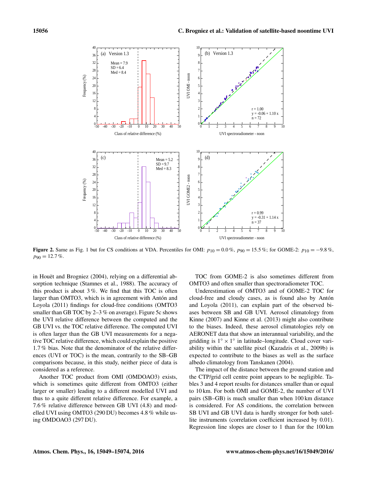

Figure 2. Same as Fig. 1 but for CS conditions at VDA. Percentiles for OMI:  $p_{10} = 0.0\%$ ,  $p_{90} = 15.5\%$ ; for GOME-2:  $p_{10} = -9.8\%$ ,  $p_{90} = 12.7\%$ .

in Houët and Brogniez (2004), relying on a differential absorption technique (Stamnes et al., 1988). The accuracy of this product is about  $3\%$ . We find that this TOC is often larger than OMTO3, which is in agreement with Antón and Loyola (2011) findings for cloud-free conditions (OMTO3 smaller than GB TOC by 2–3 % on average). Figure 5c shows the UVI relative difference between the computed and the GB UVI vs. the TOC relative difference. The computed UVI is often larger than the GB UVI measurements for a negative TOC relative difference, which could explain the positive 1.7 % bias. Note that the denominator of the relative differences (UVI or TOC) is the mean, contrarily to the SB–GB comparisons because, in this study, neither piece of data is considered as a reference.

Another TOC product from OMI (OMDOAO3) exists, which is sometimes quite different from OMTO3 (either larger or smaller) leading to a different modelled UVI and thus to a quite different relative difference. For example, a 7.6 % relative difference between GB UVI (4.8) and modelled UVI using OMTO3 (290 DU) becomes 4.8 % while using OMDOAO3 (297 DU).

TOC from GOME-2 is also sometimes different from OMTO3 and often smaller than spectroradiometer TOC.

Underestimation of OMTO3 and of GOME-2 TOC for cloud-free and cloudy cases, as is found also by Antón and Loyola (2011), can explain part of the observed biases between SB and GB UVI. Aerosol climatology from Kinne (2007) and Kinne et al. (2013) might also contribute to the biases. Indeed, these aerosol climatologies rely on AERONET data that show an interannual variability, and the gridding is  $1^\circ \times 1^\circ$  in latitude–longitude. Cloud cover variability within the satellite pixel (Kazadzis et al., 2009b) is expected to contribute to the biases as well as the surface albedo climatology from Tanskanen (2004).

The impact of the distance between the ground station and the CTP/grid cell centre point appears to be negligible. Tables 3 and 4 report results for distances smaller than or equal to 10 km. For both OMI and GOME-2, the number of UVI pairs (SB–GB) is much smaller than when 100 km distance is considered. For AS conditions, the correlation between SB UVI and GB UVI data is hardly stronger for both satellite instruments (correlation coefficient increased by 0.01). Regression line slopes are closer to 1 than for the 100 km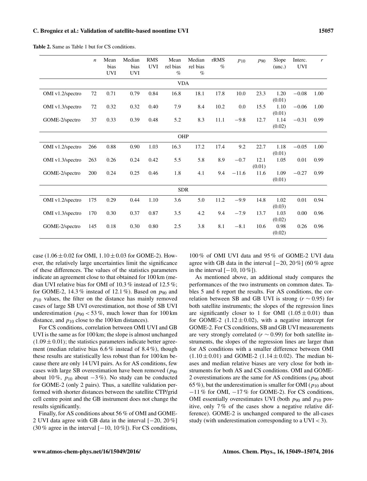|                  | $\boldsymbol{n}$ | Mean<br>bias<br><b>UVI</b> | Median<br>bias<br><b>UVI</b> | <b>RMS</b><br><b>UVI</b> | Mean<br>rel bias<br>$\%$ | Median<br>rel bias<br>$\%$ | rRMS<br>$\%$ | $P_{10}$ | $p_{90}$       | Slope<br>(unc.) | Interc.<br><b>UVI</b> | r    |
|------------------|------------------|----------------------------|------------------------------|--------------------------|--------------------------|----------------------------|--------------|----------|----------------|-----------------|-----------------------|------|
| <b>VDA</b>       |                  |                            |                              |                          |                          |                            |              |          |                |                 |                       |      |
| OMI v1.2/spectro | $72\,$           | 0.71                       | 0.79                         | 0.84                     | 16.8                     | 18.1                       | 17.8         | 10.0     | 23.3           | 1.20<br>(0.01)  | $-0.08$               | 1.00 |
| OMI v1.3/spectro | 72               | 0.32                       | 0.32                         | 0.40                     | 7.9                      | 8.4                        | 10.2         | 0.0      | 15.5           | 1.10<br>(0.01)  | $-0.06$               | 1.00 |
| GOME-2/spectro   | 37               | 0.33                       | 0.39                         | 0.48                     | 5.2                      | 8.3                        | 11.1         | $-9.8$   | 12.7           | 1.14<br>(0.02)  | $-0.31$               | 0.99 |
| OHP              |                  |                            |                              |                          |                          |                            |              |          |                |                 |                       |      |
| OMI v1.2/spectro | 266              | 0.88                       | 0.90                         | 1.03                     | 16.3                     | 17.2                       | 17.4         | 9.2      | 22.7           | 1.18<br>(0.01)  | $-0.05$               | 1.00 |
| OMI v1.3/spectro | 263              | 0.26                       | 0.24                         | 0.42                     | 5.5                      | 5.8                        | 8.9          | $-0.7$   | 12.1<br>(0.01) | 1.05            | $0.01\,$              | 0.99 |
| GOME-2/spectro   | 200              | 0.24                       | 0.25                         | 0.46                     | 1.8                      | 4.1                        | 9.4          | $-11.6$  | 11.6           | 1.09<br>(0.01)  | $-0.27$               | 0.99 |
|                  |                  |                            |                              |                          | <b>SDR</b>               |                            |              |          |                |                 |                       |      |
| OMI v1.2/spectro | 175              | 0.29                       | 0.44                         | 1.10                     | 3.6                      | 5.0                        | 11.2         | $-9.9$   | 14.8           | 1.02<br>(0.03)  | 0.01                  | 0.94 |
| OMI v1.3/spectro | 170              | 0.30                       | 0.37                         | 0.87                     | 3.5                      | 4.2                        | 9.4          | $-7.9$   | 13.7           | 1.03<br>(0.02)  | 0.00                  | 0.96 |
| GOME-2/spectro   | 145              | 0.18                       | 0.30                         | 0.80                     | 2.5                      | 3.8                        | 8.1          | $-8.1$   | 10.6           | 0.98<br>(0.02)  | 0.26                  | 0.96 |

Table 2. Same as Table 1 but for CS conditions.

case (1.06  $\pm$  0.02 for OMI, 1.10  $\pm$  0.03 for GOME-2). However, the relatively large uncertainties limit the significance of these differences. The values of the statistics parameters indicate an agreement close to that obtained for 100 km (median UVI relative bias for OMI of 10.3 % instead of 12.5 %; for GOME-2, 14.3 % instead of 12.1 %). Based on  $p_{90}$  and  $p_{10}$  values, the filter on the distance has mainly removed cases of large SB UVI overestimation, not those of SB UVI underestimation ( $p_{90}$  < 53%, much lower than for 100 km distance, and  $p_{10}$  close to the 100 km distances).

For CS conditions, correlation between OMI UVI and GB UVI is the same as for 100 km; the slope is almost unchanged  $(1.09 \pm 0.01)$ ; the statistics parameters indicate better agreement (median relative bias 6.6 % instead of 8.4 %), though these results are statistically less robust than for 100 km because there are only 14 UVI pairs. As for AS conditions, few cases with large SB overestimation have been removed ( $p_{90}$ ) about 10 %,  $p_{10}$  about  $-3$  %). No study can be conducted for GOME-2 (only 2 pairs). Thus, a satellite validation performed with shorter distances between the satellite CTP/grid cell centre point and the GB instrument does not change the results significantly.

Finally, for AS conditions about 56 % of OMI and GOME-2 UVI data agree with GB data in the interval [−20, 20 %] (30 % agree in the interval  $[-10, 10\%]$ ). For CS conditions,

100 % of OMI UVI data and 95 % of GOME-2 UVI data agree with GB data in the interval [−20, 20 %] (60 % agree in the interval [−10, 10 %]).

As mentioned above, an additional study compares the performances of the two instruments on common dates. Tables 5 and 6 report the results. For AS conditions, the correlation between SB and GB UVI is strong ( $r \sim 0.95$ ) for both satellite instruments; the slopes of the regression lines are significantly closer to 1 for OMI  $(1.05 \pm 0.01)$  than for GOME-2  $(1.12 \pm 0.02)$ , with a negative intercept for GOME-2. For CS conditions, SB and GB UVI measurements are very strongly correlated ( $r \sim 0.99$ ) for both satellite instruments, the slopes of the regression lines are larger than for AS conditions with a smaller difference between OMI  $(1.10 \pm 0.01)$  and GOME-2  $(1.14 \pm 0.02)$ . The median biases and median relative biases are very close for both instruments for both AS and CS conditions. OMI and GOME-2 overestimations are the same for AS conditions ( $p_{90}$  about 65 %), but the underestimation is smaller for OMI ( $p_{10}$  about −11 % for OMI, −17 % for GOME-2). For CS conditions, OMI essentially overestimates UVI (both  $p_{90}$  and  $p_{10}$  positive, only 7 % of the cases show a negative relative difference). GOME-2 is unchanged compared to the all-cases study (with underestimation corresponding to a  $UVI < 3$ ).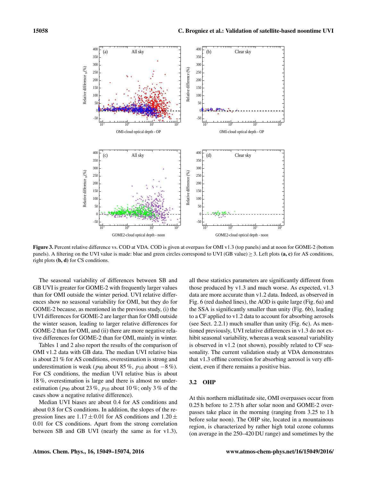

Figure 3. Percent relative difference vs. COD at VDA. COD is given at overpass for OMI v1.3 (top panels) and at noon for GOME-2 (bottom panels). A filtering on the UVI value is made: blue and green circles correspond to UVI (GB value)  $\geq$  3. Left plots (a, c) for AS conditions, right plots (b, d) for CS conditions.

The seasonal variability of differences between SB and GB UVI is greater for GOME-2 with frequently larger values than for OMI outside the winter period. UVI relative differences show no seasonal variability for OMI, but they do for GOME-2 because, as mentioned in the previous study, (i) the UVI differences for GOME-2 are larger than for OMI outside the winter season, leading to larger relative differences for GOME-2 than for OMI, and (ii) there are more negative relative differences for GOME-2 than for OMI, mainly in winter.

Tables 1 and 2 also report the results of the comparison of OMI v1.2 data with GB data. The median UVI relative bias is about 21 % for AS conditions, overestimation is strong and underestimation is weak ( $p_{90}$  about 85 %,  $p_{10}$  about  $-8$  %). For CS conditions, the median UVI relative bias is about 18 %, overestimation is large and there is almost no underestimation ( $p_{90}$  about 23 %,  $p_{10}$  about 10 %; only 3 % of the cases show a negative relative difference).

Median UVI biases are about 0.4 for AS conditions and about 0.8 for CS conditions. In addition, the slopes of the regression lines are  $1.17 \pm 0.01$  for AS conditions and  $1.20 \pm$ 0.01 for CS conditions. Apart from the strong correlation between SB and GB UVI (nearly the same as for v1.3), all these statistics parameters are significantly different from those produced by v1.3 and much worse. As expected, v1.3 data are more accurate than v1.2 data. Indeed, as observed in Fig. 6 (red dashed lines), the AOD is quite large (Fig. 6a) and the SSA is significantly smaller than unity (Fig. 6b), leading to a CF applied to v1.2 data to account for absorbing aerosols (see Sect. 2.2.1) much smaller than unity (Fig. 6c). As mentioned previously, UVI relative differences in v1.3 do not exhibit seasonal variability, whereas a weak seasonal variability is observed in v1.2 (not shown), possibly related to CF seasonality. The current validation study at VDA demonstrates that v1.3 offline correction for absorbing aerosol is very efficient, even if there remains a positive bias.

#### 3.2 OHP

At this northern midlatitude site, OMI overpasses occur from 0.25 h before to 2.75 h after solar noon and GOME-2 overpasses take place in the morning (ranging from 3.25 to 1 h before solar noon). The OHP site, located in a mountainous region, is characterized by rather high total ozone columns (on average in the 250–420 DU range) and sometimes by the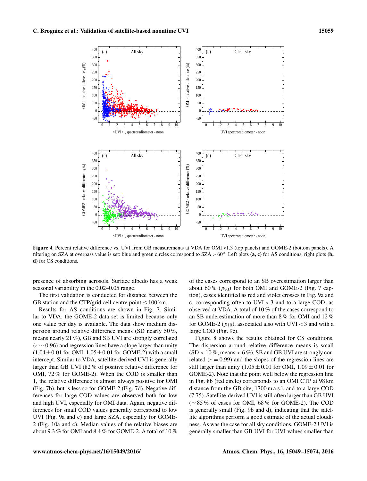

Figure 4. Percent relative difference vs. UVI from GB measurements at VDA for OMI v1.3 (top panels) and GOME-2 (bottom panels). A filtering on SZA at overpass value is set: blue and green circles correspond to SZA > 60°. Left plots (a, c) for AS conditions, right plots (b, d) for CS conditions.

presence of absorbing aerosols. Surface albedo has a weak seasonal variability in the 0.02–0.05 range.

The first validation is conducted for distance between the GB station and the CTP/grid cell centre point  $\leq 100$  km.

Results for AS conditions are shown in Fig. 7. Similar to VDA, the GOME-2 data set is limited because only one value per day is available. The data show medium dispersion around relative difference means (SD nearly 50 %, means nearly 21 %), GB and SB UVI are strongly correlated  $(r \sim 0.96)$  and regression lines have a slope larger than unity  $(1.04 \pm 0.01$  for OMI,  $1.05 \pm 0.01$  for GOME-2) with a small intercept. Similar to VDA, satellite-derived UVI is generally larger than GB UVI (82 % of positive relative difference for OMI, 72 % for GOME-2). When the COD is smaller than 1, the relative difference is almost always positive for OMI (Fig. 7b), but is less so for GOME-2 (Fig. 7d). Negative differences for large COD values are observed both for low and high UVI, especially for OMI data. Again, negative differences for small COD values generally correspond to low UVI (Fig. 9a and c) and large SZA, especially for GOME-2 (Fig. 10a and c). Median values of the relative biases are about 9.3 % for OMI and 8.4 % for GOME-2. A total of 10 %

of the cases correspond to an SB overestimation larger than about 60 % ( $p_{90}$ ) for both OMI and GOME-2 (Fig. 7 caption), cases identified as red and violet crosses in Fig. 9a and c, corresponding often to UVI < 3 and to a large COD, as observed at VDA. A total of 10 % of the cases correspond to an SB underestimation of more than 8 % for OMI and 12 % for GOME-2 ( $p_{10}$ ), associated also with UVI < 3 and with a large COD (Fig. 9c).

Figure 8 shows the results obtained for CS conditions. The dispersion around relative difference means is small  $(SD < 10\%$ , means  $< 6\%$ ), SB and GB UVI are strongly correlated  $(r = 0.99)$  and the slopes of the regression lines are still larger than unity  $(1.05 \pm 0.01$  for OMI,  $1.09 \pm 0.01$  for GOME-2). Note that the point well below the regression line in Fig. 8b (red circle) corresponds to an OMI CTP at 98 km distance from the GB site, 1700 m a.s.l. and to a large COD (7.75). Satellite-derived UVI is still often larger than GB UVI (∼ 85 % of cases for OMI, 68 % for GOME-2). The COD is generally small (Fig. 9b and d), indicating that the satellite algorithms perform a good estimate of the actual cloudiness. As was the case for all sky conditions, GOME-2 UVI is generally smaller than GB UVI for UVI values smaller than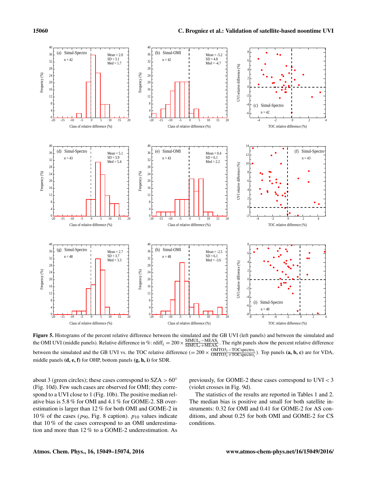

Figure 5. Histograms of the percent relative difference between the simulated and the GB UVI (left panels) and between the simulated and the OMI UVI (middle panels). Relative difference in %: rdiff<sub>i</sub> =  $200 \times$  $\frac{\text{SIMUL}_i-\text{MEAS}_i}{\text{SIMUL}_i+\text{MEAS}_i}$ . The right panels show the percent relative difference  $SIMUL_i+MEAS_i$ between the simulated and the GB UVI vs. the TOC relative difference (=  $200 \times \frac{\text{OMTO3}_{i}-\text{TOC spectra}}{\text{OMTO3}_{i}+\text{TOC spectra}}$  $\frac{\text{OMTO3}_i-\text{DCspectrum}_i}{\text{OMTO3}_i+\text{TOCspectrum}_i}$ ). Top panels (**a**, **b**, **c**) are for VDA, middle panels (d, e, f) for OHP, bottom panels (g, h, i) for SDR.

about 3 (green circles); these cases correspond to  $SZA > 60°$ (Fig. 10d). Few such cases are observed for OMI; they correspond to a UVI close to 1 (Fig. 10b). The positive median relative bias is 5.8 % for OMI and 4.1 % for GOME-2. SB overestimation is larger than 12 % for both OMI and GOME-2 in 10 % of the cases ( $p_{90}$ , Fig. 8 caption).  $p_{10}$  values indicate that 10 % of the cases correspond to an OMI underestimation and more than 12 % to a GOME-2 underestimation. As previously, for GOME-2 these cases correspond to UVI < 3 (violet crosses in Fig. 9d).

The statistics of the results are reported in Tables 1 and 2. The median bias is positive and small for both satellite instruments: 0.32 for OMI and 0.41 for GOME-2 for AS conditions, and about 0.25 for both OMI and GOME-2 for CS conditions.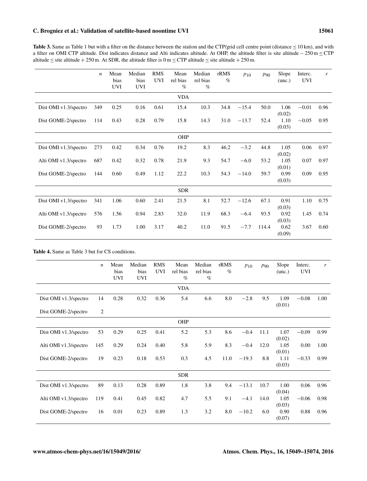## C. Brogniez et al.: Validation of satellite-based noontime UVI 15061

Table 3. Same as Table 1 but with a filter on the distance between the station and the CTP/grid cell centre point (distance  $\leq 10$  km), and with a filter on OMI CTP altitude. Dist indicates distance and Alti indicates altitude. At OHP, the altitude filter is site altitude − 250 m ≤ CTP altitude  $\le$  site altitude + 250 m. At SDR, the altitude filter is 0 m  $\le$  CTP altitude  $\le$  site altitude + 250 m.

|                       | $\boldsymbol{n}$ | Mean<br>bias<br><b>UVI</b> | Median<br>bias<br><b>UVI</b> | <b>RMS</b><br><b>UVI</b> | Mean<br>rel bias<br>$\%$ | Median<br>rel bias<br>$\%$ | rRMS<br>$\%$ | P10     | $p_{90}$ | Slope<br>(unc.) | Interc.<br><b>UVI</b> | r    |
|-----------------------|------------------|----------------------------|------------------------------|--------------------------|--------------------------|----------------------------|--------------|---------|----------|-----------------|-----------------------|------|
|                       |                  |                            |                              |                          | <b>VDA</b>               |                            |              |         |          |                 |                       |      |
| Dist OMI v1.3/spectro | 349              | 0.25                       | 0.16                         | 0.61                     | 15.4                     | 10.3                       | 34.8         | $-15.4$ | 50.0     | 1.06<br>(0.02)  | $-0.01$               | 0.96 |
| Dist GOME-2/spectro   | 114              | 0.43                       | 0.28                         | 0.79                     | 15.8                     | 14.3                       | 31.0         | $-13.7$ | 52.4     | 1.10<br>(0.03)  | $-0.05$               | 0.95 |
|                       |                  |                            |                              |                          | OHP                      |                            |              |         |          |                 |                       |      |
| Dist OMI v1.3/spectro | 273              | 0.42                       | 0.34                         | 0.76                     | 19.2                     | 8.3                        | 46.2         | $-3.2$  | 44.8     | 1.05<br>(0.02)  | 0.06                  | 0.97 |
| Alti OMI v1.3/spectro | 687              | 0.42                       | 0.32                         | 0.78                     | 21.9                     | 9.3                        | 54.7         | $-6.0$  | 53.2     | 1.05<br>(0.01)  | 0.07                  | 0.97 |
| Dist GOME-2/spectro   | 144              | 0.60                       | 0.49                         | 1.12                     | 22.2                     | 10.3                       | 54.3         | $-14.0$ | 59.7     | 0.99<br>(0.03)  | 0.09                  | 0.95 |
|                       |                  |                            |                              |                          | <b>SDR</b>               |                            |              |         |          |                 |                       |      |
| Dist OMI v1.3/spectro | 341              | 1.06                       | 0.60                         | 2.41                     | 21.5                     | 8.1                        | 52.7         | $-12.6$ | 67.1     | 0.91<br>(0.03)  | 1.10                  | 0.75 |
| Alti OMI v1.3/spectro | 576              | 1.56                       | 0.94                         | 2.83                     | 32.0                     | 11.9                       | 68.3         | $-6.4$  | 93.5     | 0.92<br>(0.03)  | 1.45                  | 0.74 |
| Dist GOME-2/spectro   | 93               | 1.73                       | 1.00                         | 3.17                     | 40.2                     | 11.0                       | 91.5         | $-7.7$  | 114.4    | 0.62<br>(0.09)  | 3.67                  | 0.60 |

Table 4. Same as Table 3 but for CS conditions.

|                       | $\boldsymbol{n}$ | Mean<br>bias<br><b>UVI</b> | Median<br>bias<br><b>UVI</b> | <b>RMS</b><br><b>UVI</b> | Mean<br>rel bias<br>$\%$ | Median<br>rel bias<br>$\%$ | rRMS<br>$\%$ | $P_{10}$ | P90  | Slope<br>(unc.) | Interc.<br><b>UVI</b> | r    |
|-----------------------|------------------|----------------------------|------------------------------|--------------------------|--------------------------|----------------------------|--------------|----------|------|-----------------|-----------------------|------|
|                       |                  |                            |                              |                          | <b>VDA</b>               |                            |              |          |      |                 |                       |      |
| Dist OMI v1.3/spectro | 14               | 0.28                       | 0.32                         | 0.36                     | 5.4                      | 6.6                        | 8.0          | $-2.8$   | 9.5  | 1.09<br>(0.01)  | $-0.08$               | 1.00 |
| Dist GOME-2/spectro   | 2                |                            |                              |                          |                          |                            |              |          |      |                 |                       |      |
|                       |                  |                            |                              |                          | OHP                      |                            |              |          |      |                 |                       |      |
| Dist OMI v1.3/spectro | 53               | 0.29                       | 0.25                         | 0.41                     | 5.2                      | 5.3                        | 8.6          | $-0.4$   | 11.1 | 1.07<br>(0.02)  | $-0.09$               | 0.99 |
| Alti OMI v1.3/spectro | 145              | 0.29                       | 0.24                         | 0.40                     | 5.8                      | 5.9                        | 8.3          | $-0.4$   | 12.0 | 1.05<br>(0.01)  | 0.00                  | 1.00 |
| Dist GOME-2/spectro   | 19               | 0.23                       | 0.18                         | 0.53                     | 0.3                      | 4.5                        | 11.0         | $-19.3$  | 8.8  | 1.11<br>(0.03)  | $-0.33$               | 0.99 |
|                       |                  |                            |                              |                          | <b>SDR</b>               |                            |              |          |      |                 |                       |      |
| Dist OMI v1.3/spectro | 89               | 0.13                       | 0.28                         | 0.89                     | 1.8                      | 3.8                        | 9.4          | $-13.1$  | 10.7 | 1.00<br>(0.04)  | 0.06                  | 0.96 |
| Alti OMI v1.3/spectro | 119              | 0.41                       | 0.45                         | 0.82                     | 4.7                      | 5.5                        | 9.1          | $-4.1$   | 14.0 | 1.05<br>(0.03)  | $-0.06$               | 0.98 |
| Dist GOME-2/spectro   | 16               | 0.01                       | 0.23                         | 0.89                     | 1.3                      | 3.2                        | 8.0          | $-10.2$  | 6.0  | 0.90<br>(0.07)  | 0.88                  | 0.96 |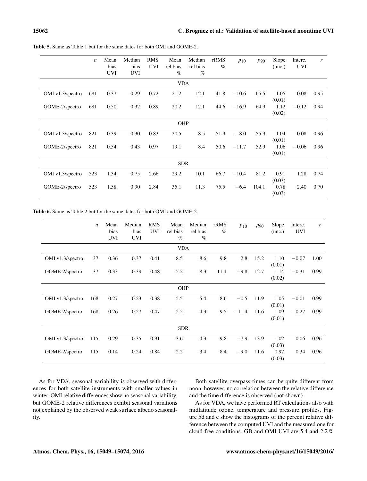|                  | $\boldsymbol{n}$ | Mean<br>bias<br><b>UVI</b> | Median<br>bias<br><b>UVI</b> | <b>RMS</b><br><b>UVI</b> | Mean<br>rel bias<br>$\%$ | Median<br>rel bias<br>$\%$ | rRMS<br>$\%$ | $p_{10}$ | $p_{90}$ | Slope<br>(unc.) | Interc.<br><b>UVI</b> | r    |
|------------------|------------------|----------------------------|------------------------------|--------------------------|--------------------------|----------------------------|--------------|----------|----------|-----------------|-----------------------|------|
| <b>VDA</b>       |                  |                            |                              |                          |                          |                            |              |          |          |                 |                       |      |
| OMI v1.3/spectro | 681              | 0.37                       | 0.29                         | 0.72                     | 21.2                     | 12.1                       | 41.8         | $-10.6$  | 65.5     | 1.05<br>(0.01)  | 0.08                  | 0.95 |
| GOME-2/spectro   | 681              | 0.50                       | 0.32                         | 0.89                     | 20.2                     | 12.1                       | 44.6         | $-16.9$  | 64.9     | 1.12<br>(0.02)  | $-0.12$               | 0.94 |
|                  |                  |                            |                              |                          | <b>OHP</b>               |                            |              |          |          |                 |                       |      |
| OMI v1.3/spectro | 821              | 0.39                       | 0.30                         | 0.83                     | 20.5                     | 8.5                        | 51.9         | $-8.0$   | 55.9     | 1.04<br>(0.01)  | 0.08                  | 0.96 |
| GOME-2/spectro   | 821              | 0.54                       | 0.43                         | 0.97                     | 19.1                     | 8.4                        | 50.6         | $-11.7$  | 52.9     | 1.06<br>(0.01)  | $-0.06$               | 0.96 |
|                  |                  |                            |                              |                          | <b>SDR</b>               |                            |              |          |          |                 |                       |      |
| OMI v1.3/spectro | 523              | 1.34                       | 0.75                         | 2.66                     | 29.2                     | 10.1                       | 66.7         | $-10.4$  | 81.2     | 0.91<br>(0.03)  | 1.28                  | 0.74 |
| GOME-2/spectro   | 523              | 1.58                       | 0.90                         | 2.84                     | 35.1                     | 11.3                       | 75.5         | $-6.4$   | 104.1    | 0.78<br>(0.03)  | 2.40                  | 0.70 |

Table 5. Same as Table 1 but for the same dates for both OMI and GOME-2.

Table 6. Same as Table 2 but for the same dates for both OMI and GOME-2.

|                  | $\boldsymbol{n}$ | Mean<br>bias<br><b>UVI</b> | Median<br>bias<br><b>UVI</b> | <b>RMS</b><br><b>UVI</b> | Mean<br>rel bias<br>$\%$ | Median<br>rel bias<br>$\%$ | rRMS<br>$\%$ | $P_{10}$ | $p_{90}$ | Slope<br>(unc.) | Interc.<br><b>UVI</b> | r    |
|------------------|------------------|----------------------------|------------------------------|--------------------------|--------------------------|----------------------------|--------------|----------|----------|-----------------|-----------------------|------|
| <b>VDA</b>       |                  |                            |                              |                          |                          |                            |              |          |          |                 |                       |      |
| OMI v1.3/spectro | 37               | 0.36                       | 0.37                         | 0.41                     | 8.5                      | 8.6                        | 9.8          | 2.8      | 15.2     | 1.10<br>(0.01)  | $-0.07$               | 1.00 |
| GOME-2/spectro   | 37               | 0.33                       | 0.39                         | 0.48                     | 5.2                      | 8.3                        | 11.1         | $-9.8$   | 12.7     | 1.14<br>(0.02)  | $-0.31$               | 0.99 |
|                  |                  |                            |                              |                          | OHP                      |                            |              |          |          |                 |                       |      |
| OMI v1.3/spectro | 168              | 0.27                       | 0.23                         | 0.38                     | 5.5                      | 5.4                        | 8.6          | $-0.5$   | 11.9     | 1.05<br>(0.01)  | $-0.01$               | 0.99 |
| GOME-2/spectro   | 168              | 0.26                       | 0.27                         | 0.47                     | 2.2                      | 4.3                        | 9.5          | $-11.4$  | 11.6     | 1.09<br>(0.01)  | $-0.27$               | 0.99 |
|                  |                  |                            |                              |                          | <b>SDR</b>               |                            |              |          |          |                 |                       |      |
| OMI v1.3/spectro | 115              | 0.29                       | 0.35                         | 0.91                     | 3.6                      | 4.3                        | 9.8          | $-7.9$   | 13.9     | 1.02<br>(0.03)  | 0.06                  | 0.96 |
| GOME-2/spectro   | 115              | 0.14                       | 0.24                         | 0.84                     | 2.2                      | 3.4                        | 8.4          | $-9.0$   | 11.6     | 0.97<br>(0.03)  | 0.34                  | 0.96 |

As for VDA, seasonal variability is observed with differences for both satellite instruments with smaller values in winter. OMI relative differences show no seasonal variability, but GOME-2 relative differences exhibit seasonal variations not explained by the observed weak surface albedo seasonality.

Both satellite overpass times can be quite different from noon, however, no correlation between the relative difference and the time difference is observed (not shown).

As for VDA, we have performed RT calculations also with midlatitude ozone, temperature and pressure profiles. Figure 5d and e show the histograms of the percent relative difference between the computed UVI and the measured one for cloud-free conditions. GB and OMI UVI are 5.4 and 2.2 %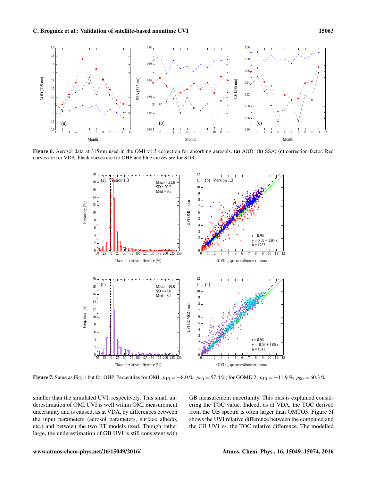

Figure 6. Aerosol data at 315 nm used in the OMI v1.3 correction for absorbing aerosols. (a) AOD; (b) SSA; (c) correction factor. Red curves are for VDA, black curves are for OHP and blue curves are for SDR.



**Figure 7.** Same as Fig. 1 but for OHP. Percentiles for OMI:  $p_{10} = -8.0\%$ ,  $p_{90} = 57.4\%$ ; for GOME-2:  $p_{10} = -11.9\%$ ,  $p_{90} = 60.3\%$ .

smaller than the simulated UVI, respectively. This small underestimation of OMI UVI is well within OMI measurement uncertainty and is caused, as at VDA, by differences between the input parameters (aerosol parameters, surface albedo, etc.) and between the two RT models used. Though rather large, the underestimation of GB UVI is still consistent with GB measurement uncertainty. This bias is explained considering the TOC value. Indeed, as at VDA, the TOC derived from the GB spectra is often larger than OMTO3. Figure 5f shows the UVI relative difference between the computed and the GB UVI vs. the TOC relative difference. The modelled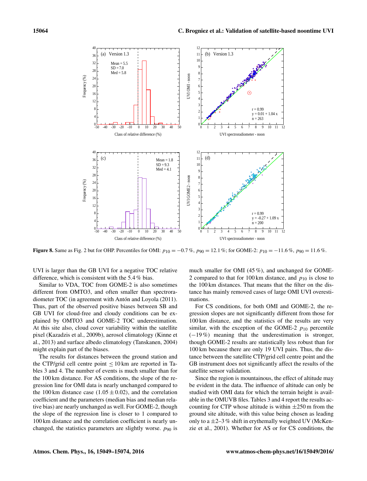

**Figure 8.** Same as Fig. 2 but for OHP. Percentiles for OMI:  $p_{10} = -0.7\%$ ,  $p_{90} = 12.1\%$ ; for GOME-2:  $p_{10} = -11.6\%$ ,  $p_{90} = 11.6\%$ .

UVI is larger than the GB UVI for a negative TOC relative difference, which is consistent with the 5.4 % bias.

Similar to VDA, TOC from GOME-2 is also sometimes different from OMTO3, and often smaller than spectroradiometer TOC (in agreement with Antón and Loyola (2011). Thus, part of the observed positive biases between SB and GB UVI for cloud-free and cloudy conditions can be explained by OMTO3 and GOME-2 TOC underestimation. At this site also, cloud cover variability within the satellite pixel (Kazadzis et al., 2009b), aerosol climatology (Kinne et al., 2013) and surface albedo climatology (Tanskanen, 2004) might explain part of the biases.

The results for distances between the ground station and the CTP/grid cell centre point  $\leq 10 \text{ km}$  are reported in Tables 3 and 4. The number of events is much smaller than for the 100 km distance. For AS conditions, the slope of the regression line for OMI data is nearly unchanged compared to the 100 km distance case  $(1.05 \pm 0.02)$ , and the correlation coefficient and the parameters (median bias and median relative bias) are nearly unchanged as well. For GOME-2, though the slope of the regression line is closer to 1 compared to 100 km distance and the correlation coefficient is nearly unchanged, the statistics parameters are slightly worse.  $p_{90}$  is much smaller for OMI (45 %), and unchanged for GOME-2 compared to that for 100 km distance, and  $p_{10}$  is close to the 100 km distances. That means that the filter on the distance has mainly removed cases of large OMI UVI overestimations.

For CS conditions, for both OMI and GOME-2, the regression slopes are not significantly different from those for 100 km distance, and the statistics of the results are very similar, with the exception of the GOME-2  $p_{10}$  percentile (−19 %) meaning that the underestimation is stronger, though GOME-2 results are statistically less robust than for 100 km because there are only 19 UVI pairs. Thus, the distance between the satellite CTP/grid cell centre point and the GB instrument does not significantly affect the results of the satellite sensor validation.

Since the region is mountainous, the effect of altitude may be evident in the data. The influence of altitude can only be studied with OMI data for which the terrain height is available in the OMUVB files. Tables 3 and 4 report the results accounting for CTP whose altitude is within  $\pm 250$  m from the ground site altitude, with this value being chosen as leading only to a  $\pm$ 2–3 % shift in erythemally weighted UV (McKenzie et al., 2001). Whether for AS or for CS conditions, the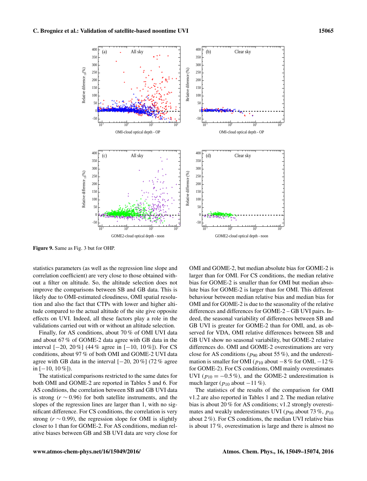

Figure 9. Same as Fig. 3 but for OHP.

statistics parameters (as well as the regression line slope and correlation coefficient) are very close to those obtained without a filter on altitude. So, the altitude selection does not improve the comparisons between SB and GB data. This is likely due to OMI-estimated cloudiness, OMI spatial resolution and also the fact that CTPs with lower and higher altitude compared to the actual altitude of the site give opposite effects on UVI. Indeed, all these factors play a role in the validations carried out with or without an altitude selection.

Finally, for AS conditions, about 70 % of OMI UVI data and about 67 % of GOME-2 data agree with GB data in the interval  $[-20, 20\%]$  (44 % agree in  $[-10, 10\%]$ ). For CS conditions, about 97 % of both OMI and GOME-2 UVI data agree with GB data in the interval [−20, 20 %] (72 % agree in  $[-10, 10\%]$ ).

The statistical comparisons restricted to the same dates for both OMI and GOME-2 are reported in Tables 5 and 6. For AS conditions, the correlation between SB and GB UVI data is strong ( $r \sim 0.96$ ) for both satellite instruments, and the slopes of the regression lines are larger than 1, with no significant difference. For CS conditions, the correlation is very strong ( $r \sim 0.99$ ), the regression slope for OMI is slightly closer to 1 than for GOME-2. For AS conditions, median relative biases between GB and SB UVI data are very close for OMI and GOME-2, but median absolute bias for GOME-2 is larger than for OMI. For CS conditions, the median relative bias for GOME-2 is smaller than for OMI but median absolute bias for GOME-2 is larger than for OMI. This different behaviour between median relative bias and median bias for OMI and for GOME-2 is due to the seasonality of the relative differences and differences for GOME-2 – GB UVI pairs. Indeed, the seasonal variability of differences between SB and GB UVI is greater for GOME-2 than for OMI, and, as observed for VDA, OMI relative differences between SB and GB UVI show no seasonal variability, but GOME-2 relative differences do. OMI and GOME-2 overestimations are very close for AS conditions ( $p_{90}$  about 55%), and the underestimation is smaller for OMI ( $p_{10}$  about −8 % for OMI, −12 % for GOME-2). For CS conditions, OMI mainly overestimates UVI ( $p_{10} = -0.5\%$ ), and the GOME-2 underestimation is much larger ( $p_{10}$  about  $-11\%$ ).

The statistics of the results of the comparison for OMI v1.2 are also reported in Tables 1 and 2. The median relative bias is about 20 % for AS conditions; v1.2 strongly overestimates and weakly underestimates UVI ( $p_{90}$  about 73%,  $p_{10}$ ) about 2 %). For CS conditions, the median UVI relative bias is about 17 %, overestimation is large and there is almost no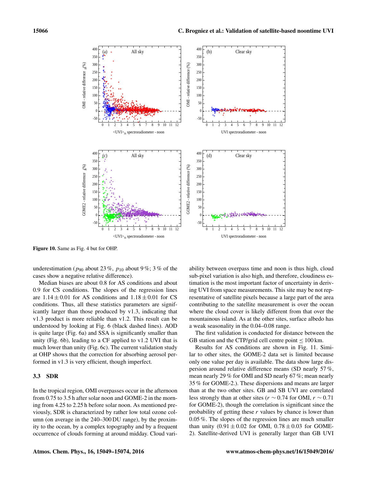

Figure 10. Same as Fig. 4 but for OHP.

underestimation ( $p_{90}$  about 23%,  $p_{10}$  about 9%; 3% of the cases show a negative relative difference).

Median biases are about 0.8 for AS conditions and about 0.9 for CS conditions. The slopes of the regression lines are  $1.14 \pm 0.01$  for AS conditions and  $1.18 \pm 0.01$  for CS conditions. Thus, all these statistics parameters are significantly larger than those produced by v1.3, indicating that v1.3 product is more reliable than v1.2. This result can be understood by looking at Fig. 6 (black dashed lines). AOD is quite large (Fig. 6a) and SSA is significantly smaller than unity (Fig. 6b), leading to a CF applied to v1.2 UVI that is much lower than unity (Fig. 6c). The current validation study at OHP shows that the correction for absorbing aerosol performed in v1.3 is very efficient, though imperfect.

#### 3.3 SDR

In the tropical region, OMI overpasses occur in the afternoon from 0.75 to 3.5 h after solar noon and GOME-2 in the morning from 4.25 to 2.25 h before solar noon. As mentioned previously, SDR is characterized by rather low total ozone column (on average in the 240–300 DU range), by the proximity to the ocean, by a complex topography and by a frequent occurrence of clouds forming at around midday. Cloud vari-

ability between overpass time and noon is thus high, cloud sub-pixel variation is also high, and therefore, cloudiness estimation is the most important factor of uncertainty in deriving UVI from space measurements. This site may be not representative of satellite pixels because a large part of the area contributing to the satellite measurement is over the ocean where the cloud cover is likely different from that over the mountainous island. As at the other sites, surface albedo has a weak seasonality in the 0.04–0.08 range.

The first validation is conducted for distance between the GB station and the CTP/grid cell centre point  $\leq 100$  km.

Results for AS conditions are shown in Fig. 11. Similar to other sites, the GOME-2 data set is limited because only one value per day is available. The data show large dispersion around relative difference means (SD nearly 57 %, mean nearly 29 % for OMI and SD nearly 67 %; mean nearly 35 % for GOME-2.). These dispersions and means are larger than at the two other sites. GB and SB UVI are correlated less strongly than at other sites ( $r \sim 0.74$  for OMI,  $r \sim 0.71$ for GOME-2), though the correlation is significant since the probability of getting these  $r$  values by chance is lower than 0.05 %. The slopes of the regression lines are much smaller than unity  $(0.91 \pm 0.02)$  for OMI,  $0.78 \pm 0.03$  for GOME-2). Satellite-derived UVI is generally larger than GB UVI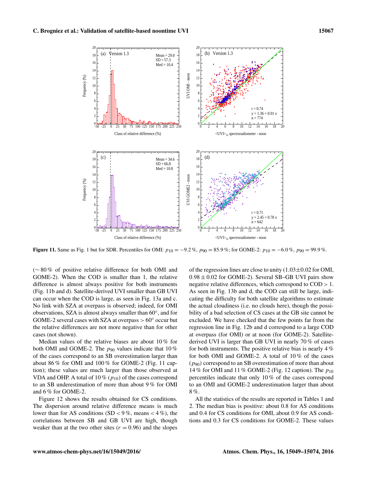

**Figure 11.** Same as Fig. 1 but for SDR. Percentiles for OMI:  $p_{10} = -9.2\%$ ,  $p_{90} = 85.9\%$ ; for GOME-2:  $p_{10} = -6.0\%$ ,  $p_{90} = 99.9\%$ .

(∼ 80 % of positive relative difference for both OMI and GOME-2). When the COD is smaller than 1, the relative difference is almost always positive for both instruments (Fig. 11b and d). Satellite-derived UVI smaller than GB UVI can occur when the COD is large, as seen in Fig. 13a and c. No link with SZA at overpass is observed; indeed, for OMI observations, SZA is almost always smaller than 60◦ , and for GOME-2 several cases with SZA at overpass  $> 60^{\circ}$  occur but the relative differences are not more negative than for other cases (not shown).

Median values of the relative biases are about 10 % for both OMI and GOME-2. The  $p_{90}$  values indicate that 10% of the cases correspond to an SB overestimation larger than about 86 % for OMI and 100 % for GOME-2 (Fig. 11 caption); these values are much larger than those observed at VDA and OHP. A total of 10 % ( $p_{10}$ ) of the cases correspond to an SB underestimation of more than about 9 % for OMI and 6 % for GOME-2.

Figure 12 shows the results obtained for CS conditions. The dispersion around relative difference means is much lower than for AS conditions  $(SD < 9\%$ , means  $< 4\%$ ), the correlations between SB and GB UVI are high, though weaker than at the two other sites  $(r = 0.96)$  and the slopes

of the regression lines are close to unity  $(1.03\pm0.02$  for OMI,  $0.98 \pm 0.02$  for GOME-2). Several SB-GB UVI pairs show negative relative differences, which correspond to COD > 1. As seen in Fig. 13b and d, the COD can still be large, indicating the difficulty for both satellite algorithms to estimate the actual cloudiness (i.e. no clouds here), though the possibility of a bad selection of CS cases at the GB site cannot be excluded. We have checked that the few points far from the regression line in Fig. 12b and d correspond to a large COD at overpass (for OMI) or at noon (for GOME-2). Satellitederived UVI is larger than GB UVI in nearly 70 % of cases for both instruments. The positive relative bias is nearly 4 % for both OMI and GOME-2. A total of 10 % of the cases  $(p_{90})$  correspond to an SB overestimation of more than about 14 % for OMI and 11 % GOME-2 (Fig. 12 caption). The  $p_{10}$ percentiles indicate that only 10 % of the cases correspond to an OMI and GOME-2 underestimation larger than about 8 %.

All the statistics of the results are reported in Tables 1 and 2. The median bias is positive: about 0.8 for AS conditions and 0.4 for CS conditions for OMI, about 0.9 for AS conditions and 0.3 for CS conditions for GOME-2. These values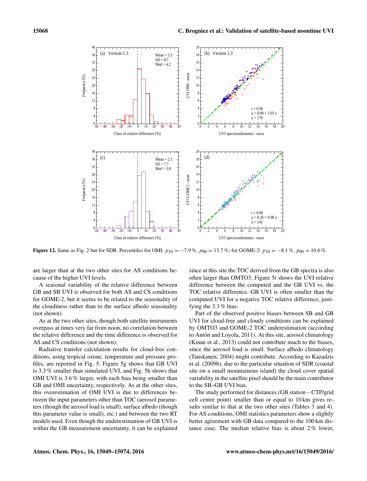

**Figure 12.** Same as Fig. 2 but for SDR. Percentiles for OMI:  $p_{10} = -7.9$  %,  $p_{90} = 13.7$  %; for GOME-2:  $p_{10} = -8.1$  %,  $p_{90} = 10.6$  %.

are larger than at the two other sites for AS conditions because of the higher UVI levels.

A seasonal variability of the relative difference between GB and SB UVI is observed for both AS and CS conditions for GOME-2, but it seems to be related to the seasonality of the cloudiness rather than to the surface albedo seasonality (not shown).

As at the two other sites, though both satellite instruments overpass at times very far from noon, no correlation between the relative difference and the time difference is observed for AS and CS conditions (not shown).

Radiative transfer calculation results for cloud-free conditions, using tropical ozone, temperature and pressure profiles, are reported in Fig. 5. Figure 5g shows that GB UVI is 3.3 % smaller than simulated UVI, and Fig. 5h shows that OMI UVI is 3.6 % larger, with each bias being smaller than GB and OMI uncertainty, respectively. As at the other sites, this overestimation of OMI UVI is due to differences between the input parameters other than TOC (aerosol parameters (though the aerosol load is small), surface albedo (though this parameter value is small), etc.) and between the two RT models used. Even though the underestimation of GB UVI is within the GB measurement uncertainty, it can be explained since at this site the TOC derived from the GB spectra is also often larger than OMTO3. Figure 5i shows the UVI relative difference between the computed and the GB UVI vs. the TOC relative difference. GB UVI is often smaller than the computed UVI for a negative TOC relative difference, justifying the 3.3 % bias.

Part of the observed positive biases between SB and GB UVI for cloud-free and cloudy conditions can be explained by OMTO3 and GOME-2 TOC underestimation (according to Antón and Loyola, 2011). At this site, aerosol climatology (Kinne et al., 2013) could not contribute much to the biases, since the aerosol load is small. Surface albedo climatology (Tanskanen, 2004) might contribute. According to Kazadzis et al. (2009b), due to the particular situation of SDR (coastal site on a small mountainous island) the cloud cover spatial variability in the satellite pixel should be the main contributor to the SB–GB UVI bias.

The study performed for distances (GB station – CTP/grid cell centre point) smaller than or equal to 10 km gives results similar to that at the two other sites (Tables 3 and 4). For AS conditions, OMI statistics parameters show a slightly better agreement with GB data compared to the 100 km distance case. The median relative bias is about 2 % lower,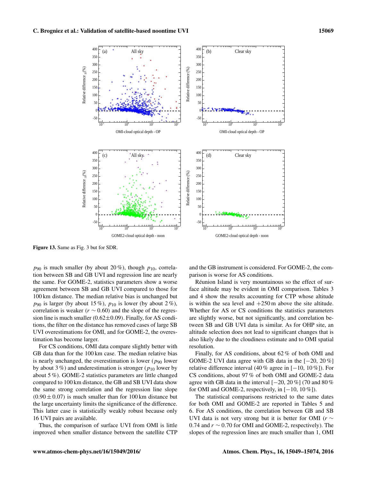

Figure 13. Same as Fig. 3 but for SDR.

 $p_{90}$  is much smaller (by about 20%), though  $p_{10}$ , correlation between SB and GB UVI and regression line are nearly the same. For GOME-2, statistics parameters show a worse agreement between SB and GB UVI compared to those for 100 km distance. The median relative bias is unchanged but  $p_{90}$  is larger (by about 15%),  $p_{10}$  is lower (by about 2%), correlation is weaker ( $r \sim 0.60$ ) and the slope of the regression line is much smaller  $(0.62\pm0.09)$ . Finally, for AS conditions, the filter on the distance has removed cases of large SB UVI overestimations for OMI, and for GOME-2, the overestimation has become larger.

For CS conditions, OMI data compare slightly better with GB data than for the 100 km case. The median relative bias is nearly unchanged, the overestimation is lower ( $p_{90}$  lower by about 3 %) and underestimation is stronger ( $p_{10}$  lower by about 5 %). GOME-2 statistics parameters are little changed compared to 100 km distance, the GB and SB UVI data show the same strong correlation and the regression line slope  $(0.90 \pm 0.07)$  is much smaller than for 100 km distance but the large uncertainty limits the significance of the difference. This latter case is statistically weakly robust because only 16 UVI pairs are available.

Thus, the comparison of surface UVI from OMI is little improved when smaller distance between the satellite CTP and the GB instrument is considered. For GOME-2, the comparison is worse for AS conditions.

Réunion Island is very mountainous so the effect of surface altitude may be evident in OMI comparison. Tables 3 and 4 show the results accounting for CTP whose altitude is within the sea level and  $+250$  m above the site altitude. Whether for AS or CS conditions the statistics parameters are slightly worse, but not significantly, and correlation between SB and GB UVI data is similar. As for OHP site, an altitude selection does not lead to significant changes that is also likely due to the cloudiness estimate and to OMI spatial resolution.

Finally, for AS conditions, about 62 % of both OMI and GOME-2 UVI data agree with GB data in the  $[-20, 20\%]$ relative difference interval (40 % agree in [−10, 10 %]). For CS conditions, about 97 % of both OMI and GOME-2 data agree with GB data in the interval  $[-20, 20\%]$  (70 and 80 %) for OMI and GOME-2, respectively, in  $[-10, 10\%]$ ).

The statistical comparisons restricted to the same dates for both OMI and GOME-2 are reported in Tables 5 and 6. For AS conditions, the correlation between GB and SB UVI data is not very strong but it is better for OMI ( $r \sim$ 0.74 and  $r \sim 0.70$  for OMI and GOME-2, respectively). The slopes of the regression lines are much smaller than 1, OMI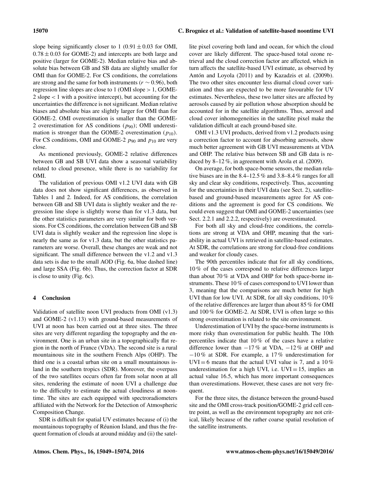slope being significantly closer to 1 (0.91  $\pm$  0.03 for OMI,  $0.78 \pm 0.03$  for GOME-2) and intercepts are both large and positive (larger for GOME-2). Median relative bias and absolute bias between GB and SB data are slightly smaller for OMI than for GOME-2. For CS conditions, the correlations are strong and the same for both instruments ( $r \sim 0.96$ ), both regression line slopes are close to 1 (OMI slope > 1, GOME-2 slope < 1 with a positive intercept), but accounting for the uncertainties the difference is not significant. Median relative biases and absolute bias are slightly larger for OMI than for GOME-2. OMI overestimation is smaller than the GOME-2 overestimation for AS conditions  $(p_{90})$ ; OMI underestimation is stronger than the GOME-2 overestimation  $(p_{10})$ . For CS conditions, OMI and GOME-2  $p_{90}$  and  $p_{10}$  are very close.

As mentioned previously, GOME-2 relative differences between GB and SB UVI data show a seasonal variability related to cloud presence, while there is no variability for OMI.

The validation of previous OMI v1.2 UVI data with GB data does not show significant differences, as observed in Tables 1 and 2. Indeed, for AS conditions, the correlation between GB and SB UVI data is slightly weaker and the regression line slope is slightly worse than for v1.3 data, but the other statistics parameters are very similar for both versions. For CS conditions, the correlation between GB and SB UVI data is slightly weaker and the regression line slope is nearly the same as for v1.3 data, but the other statistics parameters are worse. Overall, these changes are weak and not significant. The small difference between the v1.2 and v1.3 data sets is due to the small AOD (Fig. 6a, blue dashed line) and large SSA (Fig. 6b). Thus, the correction factor at SDR is close to unity (Fig. 6c).

#### 4 Conclusion

Validation of satellite noon UVI products from OMI (v1.3) and GOME-2 (v1.13) with ground-based measurements of UVI at noon has been carried out at three sites. The three sites are very different regarding the topography and the environment. One is an urban site in a topographically flat region in the north of France (VDA). The second site is a rural mountainous site in the southern French Alps (OHP). The third one is a coastal urban site on a small mountainous island in the southern tropics (SDR). Moreover, the overpass of the two satellites occurs often far from solar noon at all sites, rendering the estimate of noon UVI a challenge due to the difficulty to estimate the actual cloudiness at noontime. The sites are each equipped with spectroradiometers affiliated with the Network for the Detection of Atmospheric Composition Change.

SDR is difficult for spatial UV estimates because of (i) the mountainous topography of Réunion Island, and thus the frequent formation of clouds at around midday and (ii) the satellite pixel covering both land and ocean, for which the cloud cover are likely different. The space-based total ozone retrieval and the cloud correction factor are affected, which in turn affects the satellite-based UVI estimate, as observed by Antón and Loyola (2011) and by Kazadzis et al. (2009b). The two other sites encounter less diurnal cloud cover variation and thus are expected to be more favourable for UV estimates. Nevertheless, these two latter sites are affected by aerosols caused by air pollution whose absorption should be accounted for in the satellite algorithms. Thus, aerosol and cloud cover inhomogeneities in the satellite pixel make the validation difficult at each ground-based site.

OMI v1.3 UVI products, derived from v1.2 products using a correction factor to account for absorbing aerosols, show much better agreement with GB UVI measurements at VDA and OHP. The relative bias between SB and GB data is reduced by 8–12 %, in agreement with Arola et al. (2009).

On average, for both space-borne sensors, the median relative biases are in the 8.4–12.5 % and 3.8–8.4 % ranges for all sky and clear sky conditions, respectively. Thus, accounting for the uncertainties in their UVI data (see Sect. 2), satellitebased and ground-based measurements agree for AS conditions and the agreement is good for CS conditions. We could even suggest that OMI and GOME-2 uncertainties (see Sect. 2.2.1 and 2.2.2, respectively) are overestimated.

For both all sky and cloud-free conditions, the correlations are strong at VDA and OHP, meaning that the variability in actual UVI is retrieved in satellite-based estimates. At SDR, the correlations are strong for cloud-free conditions and weaker for cloudy cases.

The 90th percentiles indicate that for all sky conditions, 10 % of the cases correspond to relative differences larger than about 70 % at VDA and OHP for both space-borne instruments. These 10 % of cases correspond to UVI lower than 3, meaning that the comparisons are much better for high UVI than for low UVI. At SDR, for all sky conditions, 10 % of the relative differences are larger than about 85 % for OMI and 100 % for GOME-2. At SDR, UVI is often large so this strong overestimation is related to the site environment.

Underestimation of UVI by the space-borne instruments is more risky than overestimation for public health. The 10th percentiles indicate that 10 % of the cases have a relative difference lower than  $-17\%$  at VDA,  $-12\%$  at OHP and −10 % at SDR. For example, a 17 % underestimation for UVI = 6 means that the actual UVI value is 7, and a 10 % underestimation for a high UVI, i.e.  $UVI = 15$ , implies an actual value 16.5, which has more important consequences than overestimations. However, these cases are not very frequent.

For the three sites, the distance between the ground-based site and the OMI cross-track position/GOME-2 grid cell centre point, as well as the environment topography are not critical, likely because of the rather coarse spatial resolution of the satellite instruments.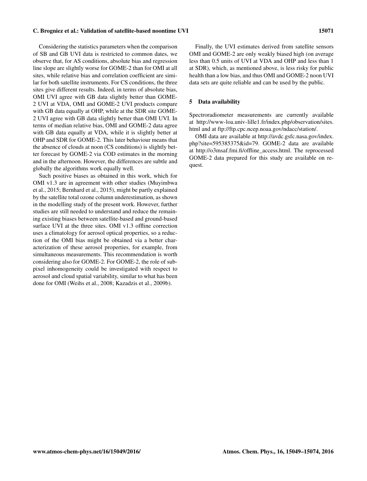#### C. Brogniez et al.: Validation of satellite-based noontime UVI 15071

Considering the statistics parameters when the comparison of SB and GB UVI data is restricted to common dates, we observe that, for AS conditions, absolute bias and regression line slope are slightly worse for GOME-2 than for OMI at all sites, while relative bias and correlation coefficient are similar for both satellite instruments. For CS conditions, the three sites give different results. Indeed, in terms of absolute bias, OMI UVI agree with GB data slightly better than GOME-2 UVI at VDA, OMI and GOME-2 UVI products compare with GB data equally at OHP, while at the SDR site GOME-2 UVI agree with GB data slightly better than OMI UVI. In terms of median relative bias, OMI and GOME-2 data agree with GB data equally at VDA, while it is slightly better at OHP and SDR for GOME-2. This later behaviour means that the absence of clouds at noon (CS conditions) is slightly better forecast by GOME-2 via COD estimates in the morning and in the afternoon. However, the differences are subtle and globally the algorithms work equally well.

Such positive biases as obtained in this work, which for OMI v1.3 are in agreement with other studies (Muyimbwa et al., 2015; Bernhard et al., 2015), might be partly explained by the satellite total ozone column underestimation, as shown in the modelling study of the present work. However, further studies are still needed to understand and reduce the remaining existing biases between satellite-based and ground-based surface UVI at the three sites. OMI v1.3 offline correction uses a climatology for aerosol optical properties, so a reduction of the OMI bias might be obtained via a better characterization of these aerosol properties, for example, from simultaneous measurements. This recommendation is worth considering also for GOME-2. For GOME-2, the role of subpixel inhomogeneity could be investigated with respect to aerosol and cloud spatial variability, similar to what has been done for OMI (Weihs et al., 2008; Kazadzis et al., 2009b).

Finally, the UVI estimates derived from satellite sensors OMI and GOME-2 are only weakly biased high (on average less than 0.5 units of UVI at VDA and OHP and less than 1 at SDR), which, as mentioned above, is less risky for public health than a low bias, and thus OMI and GOME-2 noon UVI data sets are quite reliable and can be used by the public.

#### 5 Data availability

Spectroradiometer measurements are currently available at [http://www-loa.univ-lille1.fr/index.php/observation/sites.](http://www-loa.univ-lille1.fr/index.php/observation/sites.html) [html](http://www-loa.univ-lille1.fr/index.php/observation/sites.html) and at [ftp://ftp.cpc.ncep.noaa.gov/ndacc/station/.](ftp://ftp.cpc.ncep.noaa.gov/ndacc/station/)

OMI data are available at [http://avdc.gsfc.nasa.gov/index.](http://avdc.gsfc.nasa.gov/index.php?site=595385375&id=79) [php?site=595385375&id=79.](http://avdc.gsfc.nasa.gov/index.php?site=595385375&id=79) GOME-2 data are available at [http://o3msaf.fmi.fi/offline\\_access.html.](http://o3msaf.fmi.fi/offline_access.html) The reprocessed GOME-2 data prepared for this study are available on request.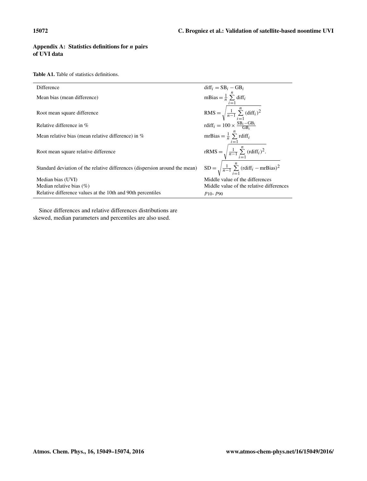## Appendix A: Statistics definitions for  $n$  pairs of UVI data

Table A1. Table of statistics definitions.

| Difference                                                                  | $diff_i = SB_i - GB_i$                                                                                                               |
|-----------------------------------------------------------------------------|--------------------------------------------------------------------------------------------------------------------------------------|
| Mean bias (mean difference)                                                 | mBias = $\frac{1}{n} \sum_{i=1}^{n}$ diff <sub>i</sub>                                                                               |
| Root mean square difference                                                 | RMS = $\sqrt{\frac{1}{n-1} \sum_{i=1}^{n} (diff_i)^2}$<br>rdiff <sub>i</sub> = 100 × $\frac{\text{SB}_i - \text{GB}_i}{\text{GB}_i}$ |
| Relative difference in $%$                                                  |                                                                                                                                      |
| Mean relative bias (mean relative difference) in $\%$                       | mrBias = $\frac{1}{n} \sum_{i=1}^{n}$ rdiff <sub>i</sub>                                                                             |
| Root mean square relative difference                                        | rRMS = $\sqrt{\frac{1}{n-1} \sum_{i=1}^{n} (\text{rdiff}_i)^2}$ .                                                                    |
| Standard deviation of the relative differences (dispersion around the mean) | $SD = \sqrt{\frac{1}{n-1} \sum_{i=1}^{n} (\text{rdiff}_i - \text{mrBias})^2}$                                                        |
| Median bias (UVI)                                                           | Middle value of the differences                                                                                                      |
| Median relative bias $(\%)$                                                 | Middle value of the relative differences                                                                                             |
| Relative difference values at the 10th and 90th percentiles                 | $p_{10}, p_{90}$                                                                                                                     |

Since differences and relative differences distributions are skewed, median parameters and percentiles are also used.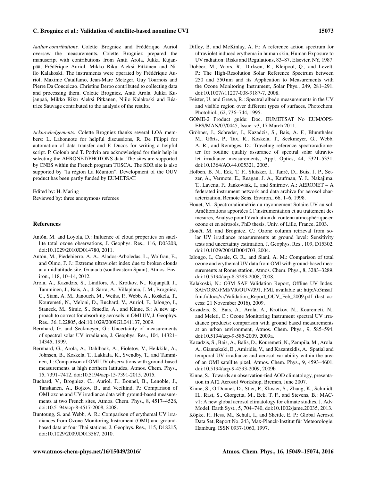*Author contributions.* Colette Brogniez and Frédérique Auriol oversaw the measurements. Colette Brogniez prepared the manuscript with contributions from Antti Arola, Jukka Kujanpää, Frédérique Auriol, Mikko Riku Aleksi Pitkänen and Niilo Kalakoski. The instruments were operated by Frédérique Auriol, Maxime Catalfamo, Jean-Marc Metzger, Guy Tournois and Pierre Da Conceicao. Christine Deroo contributed to collecting data and processing them. Colette Brogniez, Antti Arola, Jukka Kujanpää, Mikko Riku Aleksi Pitkänen, Niilo Kalakoski and Béatrice Sauvage contributed to the analysis of the results.

*Acknowledgements.* Colette Brogniez thanks several LOA members: L. Labonnote for helpful discussions, R. De Filippi for automation of data transfer and F. Ducos for writing a helpful script. P. Goloub and T. Podvin are acknowledged for their help in selecting the AERONET/PHOTONS data. The sites are supported by CNES within the French program TOSCA. The SDR site is also supported by "la région La Réunion". Development of the OUV product has been partly funded by EUMETSAT.

Edited by: H. Maring Reviewed by: three anonymous referees

#### References

- Antón, M. and Loyola, D.: Influence of cloud properties on satellite total ozone observations, J. Geophys. Res., 116, D03208, doi[:10.1029/2010JD014780,](http://dx.doi.org/10.1029/2010JD014780) 2011.
- Antón, M., Piedehierro, A. A., Alados-Arboledas, L., Wolfran, E., and Olmo, F. J.: Extreme ultraviolet index due to broken clouds at a midlatitude site, Granada (southeastern Spain), Atmos. Environ., 118, 10–14, 2012.
- Arola, A., Kazadzis, S., Lindfors, A., Krotkov, N., Kujanpää, J., Tamminen, J., Bais, A., di Sarra, A., Villaplana, J. M., Brogniez, C., Siani, A. M., Janouch, M., Weihs, P., Webb, A., Koskela, T., Kouremeti, N., Meloni, D., Buchard, V., Auriol, F., Ialongo, I., Staneck, M., Simic, S., Smedle, A., and Kinne, S.: A new approach to correct for absorbing aerosols in OMI UV, J. Geophys. Res., 36, L22805, doi[:10.1029/2009GL041137,](http://dx.doi.org/10.1029/2009GL041137) 2009.
- Bernhard, G. and Seckmeyer, G.: Uncertainty of measurements of spectral solar UV irradiance, J. Geophys. Res., 104, 14321– 14345, 1999.
- Bernhard, G., Arola, A., Dahlback, A., Fioletov, V., Heikkilä, A., Johnsen, B., Koskela, T., Lakkala, K., Svendby, T., and Tamminen, J.: Comparison of OMI UV observations with ground-based measurements at high northern latitudes, Atmos. Chem. Phys., 15, 7391–7412, doi[:10.5194/acp-15-7391-2015,](http://dx.doi.org/10.5194/acp-15-7391-2015) 2015.
- Buchard, V., Brogniez, C., Auriol, F., Bonnel, B., Lenoble, J., Tanskanen, A., Bojkov, B., and Veefkind, P.: Comparison of OMI ozone and UV irradiance data with ground-based measurements at two French sites, Atmos. Chem. Phys., 8, 4517–4528, doi[:10.5194/acp-8-4517-2008,](http://dx.doi.org/10.5194/acp-8-4517-2008) 2008.
- Buntoung, S. and Webb, A. R.: Comparison of erythemal UV irradiances from Ozone Monitoring Instrument (OMI) and groundbased data at four Thai stations, J. Geophys. Res., 115, D18215, doi[:10.1029/2009JD013567,](http://dx.doi.org/10.1029/2009JD013567) 2010.
- Diffey, B. and McKinlay, A. F.: A reference action spectrum for ultraviolet induced erythema in human skin, Human Exposure to UV radiation: Risks and Regulations, 83–87, Elsevier, NY, 1987.
- Dobber, M., Voors, R., Dirksen, R., Kleipool, Q., and Levelt, P.: The High-Resolution Solar Reference Spectrum between 250 and 550 nm and its Application to Measurements with the Ozone Monitoring Instrument, Solar Phys., 249, 281–291, doi[:10.1007/s11207-008-9187-7,](http://dx.doi.org/10.1007/s11207-008-9187-7) 2008.
- Feister, U. and Grewe, R.: Spectral albedo measurements in the UV and visible region over different types of surfaces, Photochem. Photobiol., 62, 736–744, 1995.
- GOME-2 Product guide: Doc. EUMETSAT No EUM/OPS-EPS/MAN/07/0445, Issue: v3, 17 March 2011.
- Gröbner, J., Schreder, J., Kazadzis, S., Bais, A. F., Blumthaler, M., Görts, P., Tax, R., Koskela, T., Seckmeyer, G., Webb, A. R., and Rembges, D.: Traveling reference spectroradiometer for routine quality assurance of spectral solar ultraviolet irradiance measurements, Appl. Optics, 44, 5321–5331, doi[:10.1364/AO.44.005321,](http://dx.doi.org/10.1364/AO.44.005321) 2005.
- Holben, B. N., Eck, T. F., Slutsker, I., Tanré, D., Buis, J. P., Setzer, A., Vermote, E., Reagan, J. A., Kaufman, Y. J., Nakajima, T., Lavenu, F., Jankowiak, I., and Smirnov, A.: AERONET – A federated instrument network and data archive for aerosol characterization, Remote Sens. Environ., 66, 1–6, 1998.
- Houët, M.: Spectroradiométrie du rayonnement Solaire UV au sol: Améliorations apportées à l'instrumentation et au traitement des mesures, Analyse pour l'évaluation du contenu atmosphérique en ozone et en aérosols, PhD thesis, Univ. of Lille, France, 2003.
- Houët, M. and Brogniez, C.: Ozone column retrieval from solar UV irradiance measurements at ground level: Sensitivity tests and uncertainty estimation, J. Geophys. Res., 109, D15302, doi[:10.1029/2004JD004703,](http://dx.doi.org/10.1029/2004JD004703) 2004.
- Ialongo, I., Casale, G. R., and Siani, A. M.: Comparison of total ozone and erythemal UV data from OMI with ground-based measurements at Rome station, Atmos. Chem. Phys., 8, 3283–3289, doi[:10.5194/acp-8-3283-2008,](http://dx.doi.org/10.5194/acp-8-3283-2008) 2008.
- Kalakoski, N.: O3M SAF Validation Report, Offline UV Index, SAF/O3M/FMI/VR/OUV/091, FMI, available at: [http://o3msaf.](http://o3msaf.fmi.fi/docs/vr/Validation_Report_OUV_Feb_2009.pdf) [fmi.fi/docs/vr/Validation\\_Report\\_OUV\\_Feb\\_2009.pdf](http://o3msaf.fmi.fi/docs/vr/Validation_Report_OUV_Feb_2009.pdf) (last access: 21 November 2016), 2009.
- Kazadzis, S., Bais, A., Arola, A., Krotkov, N., Kouremeti, N., and Meleti, C.: Ozone Monitoring Instrument spectral UV irradiance products: comparison with ground based measurements at an urban environment, Atmos. Chem. Phys., 9, 585–594, doi[:10.5194/acp-9-585-2009,](http://dx.doi.org/10.5194/acp-9-585-2009) 2009a.
- Kazadzis, S., Bais, A., Balis, D., Kouremeti, N., Zempila, M., Arola, A., Giannakaki, E., Amiridis, V., and Kazantzidis, A.: Spatial and temporal UV irradiance and aerosol variability within the area of an OMI satellite pixel, Atmos. Chem. Phys., 9, 4593–4601, doi[:10.5194/acp-9-4593-2009,](http://dx.doi.org/10.5194/acp-9-4593-2009) 2009b.
- Kinne, S.: Towards an observation-tied AOD climatology, presentation in AT2 Aerosol Workshop, Bremen, June 2007.
- Kinne, S., O'Donnel, D., Stier, P., Kloster, S., Zhang, K., Schmidt, H., Rast, S., Giorgetta, M., Eck, T. F., and Stevens, B.: MACv1: A new global aerosol climatology for climate studies, J. Adv. Model. Earth Syst., 5, 704–740, doi[:10.1002/jame.20035,](http://dx.doi.org/10.1002/jame.20035) 2013.
- Köpke, P., Hess, M., Schult, I., and Shettle, E. P.: Global Aerosol Data Set, Report No. 243, Max-Planck-Institut für Meteorologie, Hamburg, ISSN 0937-1060, 1997.